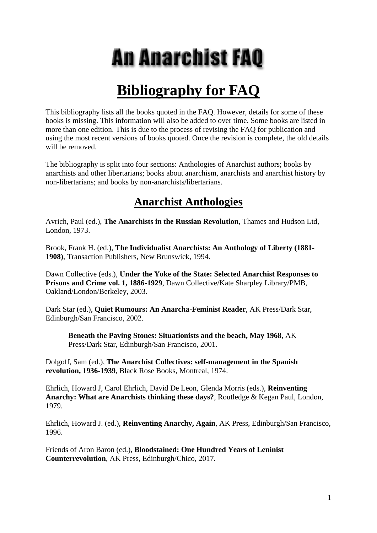# **An Anarchist FAQ**

## **Bibliography for FAQ**

This bibliography lists all the books quoted in the FAQ. However, details for some of these books is missing. This information will also be added to over time. Some books are listed in more than one edition. This is due to the process of revising the FAQ for publication and using the most recent versions of books quoted. Once the revision is complete, the old details will be removed.

The bibliography is split into four sections: Anthologies of Anarchist authors; books by anarchists and other libertarians; books about anarchism, anarchists and anarchist history by non-libertarians; and books by non-anarchists/libertarians.

### **Anarchist Anthologies**

Avrich, Paul (ed.), **The Anarchists in the Russian Revolution**, Thames and Hudson Ltd, London, 1973.

Brook, Frank H. (ed.), **The Individualist Anarchists: An Anthology of Liberty (1881- 1908)**, Transaction Publishers, New Brunswick, 1994.

Dawn Collective (eds.), **Under the Yoke of the State: Selected Anarchist Responses to Prisons and Crime vol. 1, 1886-1929**, Dawn Collective/Kate Sharpley Library/PMB, Oakland/London/Berkeley, 2003.

Dark Star (ed.), **Quiet Rumours: An Anarcha-Feminist Reader**, AK Press/Dark Star, Edinburgh/San Francisco, 2002.

**Beneath the Paving Stones: Situationists and the beach, May 1968**, AK Press/Dark Star, Edinburgh/San Francisco, 2001.

Dolgoff, Sam (ed.), **The Anarchist Collectives: self-management in the Spanish revolution, 1936-1939**, Black Rose Books, Montreal, 1974.

Ehrlich, Howard J, Carol Ehrlich, David De Leon, Glenda Morris (eds.), **Reinventing Anarchy: What are Anarchists thinking these days?**, Routledge & Kegan Paul, London, 1979.

Ehrlich, Howard J. (ed.), **Reinventing Anarchy, Again**, AK Press, Edinburgh/San Francisco, 1996.

Friends of Aron Baron (ed.), **Bloodstained: One Hundred Years of Leninist Counterrevolution**, AK Press, Edinburgh/Chico, 2017.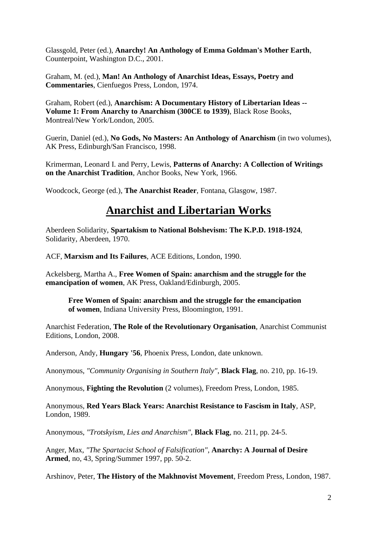Glassgold, Peter (ed.), **Anarchy! An Anthology of Emma Goldman's Mother Earth**, Counterpoint, Washington D.C., 2001.

Graham, M. (ed.), **Man! An Anthology of Anarchist Ideas, Essays, Poetry and Commentaries**, Cienfuegos Press, London, 1974.

Graham, Robert (ed.), **Anarchism: A Documentary History of Libertarian Ideas -- Volume 1: From Anarchy to Anarchism (300CE to 1939)**, Black Rose Books, Montreal/New York/London, 2005.

Guerin, Daniel (ed.), **No Gods, No Masters: An Anthology of Anarchism** (in two volumes), AK Press, Edinburgh/San Francisco, 1998.

Krimerman, Leonard I. and Perry, Lewis, **Patterns of Anarchy: A Collection of Writings on the Anarchist Tradition**, Anchor Books, New York, 1966.

Woodcock, George (ed.), **The Anarchist Reader**, Fontana, Glasgow, 1987.

#### **Anarchist and Libertarian Works**

Aberdeen Solidarity, **Spartakism to National Bolshevism: The K.P.D. 1918-1924**, Solidarity, Aberdeen, 1970.

ACF, **Marxism and Its Failures**, ACE Editions, London, 1990.

Ackelsberg, Martha A., **Free Women of Spain: anarchism and the struggle for the emancipation of women**, AK Press, Oakland/Edinburgh, 2005.

**Free Women of Spain: anarchism and the struggle for the emancipation of women**, Indiana University Press, Bloomington, 1991.

Anarchist Federation, **The Role of the Revolutionary Organisation**, Anarchist Communist Editions, London, 2008.

Anderson, Andy, **Hungary '56**, Phoenix Press, London, date unknown.

Anonymous, *"Community Organising in Southern Italy"*, **Black Flag**, no. 210, pp. 16-19.

Anonymous, **Fighting the Revolution** (2 volumes), Freedom Press, London, 1985.

Anonymous, **Red Years Black Years: Anarchist Resistance to Fascism in Italy**, ASP, London, 1989.

Anonymous, *"Trotskyism, Lies and Anarchism"*, **Black Flag**, no. 211, pp. 24-5.

Anger, Max, *"The Spartacist School of Falsification"*, **Anarchy: A Journal of Desire Armed**, no, 43, Spring/Summer 1997, pp. 50-2.

Arshinov, Peter, **The History of the Makhnovist Movement**, Freedom Press, London, 1987.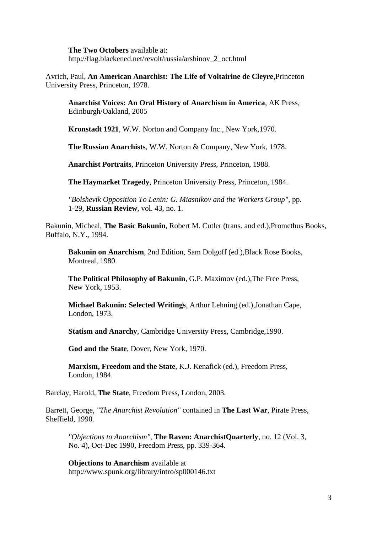**The Two Octobers** available at: http://flag.blackened.net/revolt/russia/arshinov\_2\_oct.html

Avrich, Paul, **An American Anarchist: The Life of Voltairine de Cleyre**,Princeton University Press, Princeton, 1978.

**Anarchist Voices: An Oral History of Anarchism in America**, AK Press, Edinburgh/Oakland, 2005

**Kronstadt 1921**, W.W. Norton and Company Inc., New York,1970.

**The Russian Anarchists**, W.W. Norton & Company, New York, 1978.

**Anarchist Portraits**, Princeton University Press, Princeton, 1988.

**The Haymarket Tragedy**, Princeton University Press, Princeton, 1984.

*"Bolshevik Opposition To Lenin: G. Miasnikov and the Workers Group"*, pp. 1-29, **Russian Review**, vol. 43, no. 1.

Bakunin, Micheal, **The Basic Bakunin**, Robert M. Cutler (trans. and ed.),Promethus Books, Buffalo, N.Y., 1994.

**Bakunin on Anarchism**, 2nd Edition, Sam Dolgoff (ed.),Black Rose Books, Montreal, 1980.

**The Political Philosophy of Bakunin**, G.P. Maximov (ed.),The Free Press, New York, 1953.

**Michael Bakunin: Selected Writings**, Arthur Lehning (ed.),Jonathan Cape, London, 1973.

**Statism and Anarchy**, Cambridge University Press, Cambridge,1990.

**God and the State**, Dover, New York, 1970.

**Marxism, Freedom and the State**, K.J. Kenafick (ed.), Freedom Press, London, 1984.

Barclay, Harold, **The State**, Freedom Press, London, 2003.

Barrett, George, *"The Anarchist Revolution"* contained in **The Last War**, Pirate Press, Sheffield, 1990.

*"Objections to Anarchism"*, **The Raven: AnarchistQuarterly**, no. 12 (Vol. 3, No. 4), Oct-Dec 1990, Freedom Press, pp. 339-364.

**Objections to Anarchism** available at http://www.spunk.org/library/intro/sp000146.txt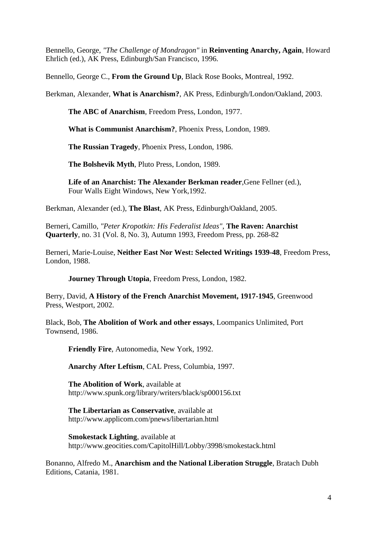Bennello, George, *"The Challenge of Mondragon"* in **Reinventing Anarchy, Again**, Howard Ehrlich (ed.), AK Press, Edinburgh/San Francisco, 1996.

Bennello, George C., **From the Ground Up**, Black Rose Books, Montreal, 1992.

Berkman, Alexander, **What is Anarchism?**, AK Press, Edinburgh/London/Oakland, 2003.

**The ABC of Anarchism**, Freedom Press, London, 1977.

**What is Communist Anarchism?**, Phoenix Press, London, 1989.

**The Russian Tragedy**, Phoenix Press, London, 1986.

**The Bolshevik Myth**, Pluto Press, London, 1989.

**Life of an Anarchist: The Alexander Berkman reader**,Gene Fellner (ed.), Four Walls Eight Windows, New York,1992.

Berkman, Alexander (ed.), **The Blast**, AK Press, Edinburgh/Oakland, 2005.

Berneri, Camillo, *"Peter Kropotkin: His Federalist Ideas"*, **The Raven: Anarchist Quarterly**, no. 31 (Vol. 8, No. 3), Autumn 1993, Freedom Press, pp. 268-82

Berneri, Marie-Louise, **Neither East Nor West: Selected Writings 1939-48**, Freedom Press, London, 1988.

**Journey Through Utopia**, Freedom Press, London, 1982.

Berry, David, **A History of the French Anarchist Movement, 1917-1945**, Greenwood Press, Westport, 2002.

Black, Bob, **The Abolition of Work and other essays**, Loompanics Unlimited, Port Townsend, 1986.

**Friendly Fire**, Autonomedia, New York, 1992.

**Anarchy After Leftism**, CAL Press, Columbia, 1997.

**The Abolition of Work**, available at http://www.spunk.org/library/writers/black/sp000156.txt

**The Libertarian as Conservative**, available at http://www.applicom.com/pnews/libertarian.html

**Smokestack Lighting**, available at http://www.geocities.com/CapitolHill/Lobby/3998/smokestack.html

Bonanno, Alfredo M., **Anarchism and the National Liberation Struggle**, Bratach Dubh Editions, Catania, 1981.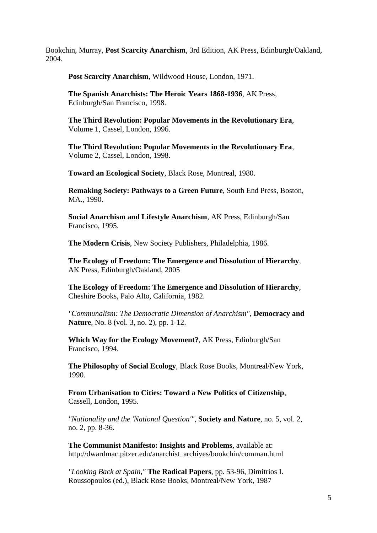Bookchin, Murray, **Post Scarcity Anarchism**, 3rd Edition, AK Press, Edinburgh/Oakland, 2004.

**Post Scarcity Anarchism**, Wildwood House, London, 1971.

**The Spanish Anarchists: The Heroic Years 1868-1936**, AK Press, Edinburgh/San Francisco, 1998.

**The Third Revolution: Popular Movements in the Revolutionary Era**, Volume 1, Cassel, London, 1996.

**The Third Revolution: Popular Movements in the Revolutionary Era**, Volume 2, Cassel, London, 1998.

**Toward an Ecological Society**, Black Rose, Montreal, 1980.

**Remaking Society: Pathways to a Green Future**, South End Press, Boston, MA., 1990.

**Social Anarchism and Lifestyle Anarchism**, AK Press, Edinburgh/San Francisco, 1995.

**The Modern Crisis**, New Society Publishers, Philadelphia, 1986.

**The Ecology of Freedom: The Emergence and Dissolution of Hierarchy**, AK Press, Edinburgh/Oakland, 2005

**The Ecology of Freedom: The Emergence and Dissolution of Hierarchy**, Cheshire Books, Palo Alto, California, 1982.

*"Communalism: The Democratic Dimension of Anarchism"*, **Democracy and Nature**, No. 8 (vol. 3, no. 2), pp. 1-12.

**Which Way for the Ecology Movement?**, AK Press, Edinburgh/San Francisco, 1994.

**The Philosophy of Social Ecology**, Black Rose Books, Montreal/New York, 1990.

**From Urbanisation to Cities: Toward a New Politics of Citizenship**, Cassell, London, 1995.

*"Nationality and the 'National Question'"*, **Society and Nature**, no. 5, vol. 2, no. 2, pp. 8-36.

**The Communist Manifesto: Insights and Problems**, available at: http://dwardmac.pitzer.edu/anarchist\_archives/bookchin/comman.html

*"Looking Back at Spain,"* **The Radical Papers**, pp. 53-96, Dimitrios I. Roussopoulos (ed.), Black Rose Books, Montreal/New York, 1987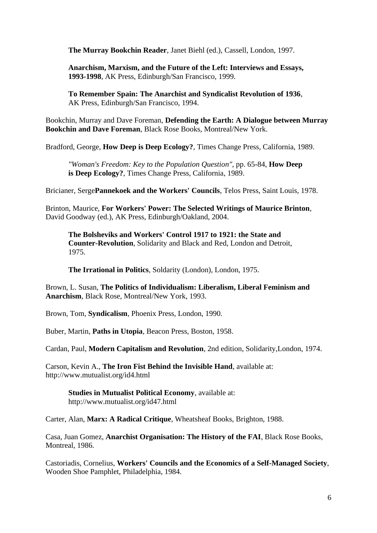**The Murray Bookchin Reader**, Janet Biehl (ed.), Cassell, London, 1997.

**Anarchism, Marxism, and the Future of the Left: Interviews and Essays, 1993-1998**, AK Press, Edinburgh/San Francisco, 1999.

**To Remember Spain: The Anarchist and Syndicalist Revolution of 1936**, AK Press, Edinburgh/San Francisco, 1994.

Bookchin, Murray and Dave Foreman, **Defending the Earth: A Dialogue between Murray Bookchin and Dave Foreman**, Black Rose Books, Montreal/New York.

Bradford, George, **How Deep is Deep Ecology?**, Times Change Press, California, 1989.

*"Woman's Freedom: Key to the Population Question"*, pp. 65-84, **How Deep is Deep Ecology?**, Times Change Press, California, 1989.

Bricianer, Serge**Pannekoek and the Workers' Councils**, Telos Press, Saint Louis, 1978.

Brinton, Maurice, **For Workers' Power: The Selected Writings of Maurice Brinton**, David Goodway (ed.), AK Press, Edinburgh/Oakland, 2004.

**The Bolsheviks and Workers' Control 1917 to 1921: the State and Counter-Revolution**, Solidarity and Black and Red, London and Detroit, 1975.

**The Irrational in Politics**, Soldarity (London), London, 1975.

Brown, L. Susan, **The Politics of Individualism: Liberalism, Liberal Feminism and Anarchism**, Black Rose, Montreal/New York, 1993.

Brown, Tom, **Syndicalism**, Phoenix Press, London, 1990.

Buber, Martin, **Paths in Utopia**, Beacon Press, Boston, 1958.

Cardan, Paul, **Modern Capitalism and Revolution**, 2nd edition, Solidarity,London, 1974.

Carson, Kevin A., **The Iron Fist Behind the Invisible Hand**, available at: http://www.mutualist.org/id4.html

**Studies in Mutualist Political Economy**, available at: http://www.mutualist.org/id47.html

Carter, Alan, **Marx: A Radical Critique**, Wheatsheaf Books, Brighton, 1988.

Casa, Juan Gomez, **Anarchist Organisation: The History of the FAI**, Black Rose Books, Montreal, 1986.

Castoriadis, Cornelius, **Workers' Councils and the Economics of a Self-Managed Society**, Wooden Shoe Pamphlet, Philadelphia, 1984.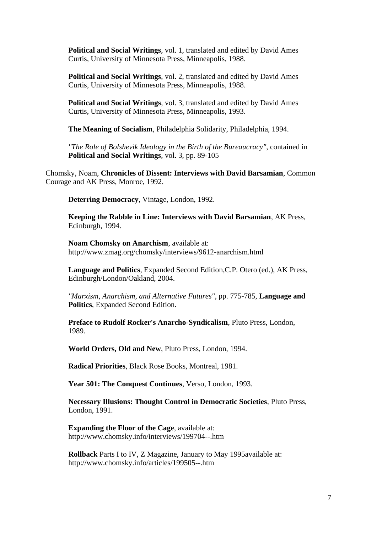**Political and Social Writings**, vol. 1, translated and edited by David Ames Curtis, University of Minnesota Press, Minneapolis, 1988.

**Political and Social Writings**, vol. 2, translated and edited by David Ames Curtis, University of Minnesota Press, Minneapolis, 1988.

**Political and Social Writings**, vol. 3, translated and edited by David Ames Curtis, University of Minnesota Press, Minneapolis, 1993.

**The Meaning of Socialism**, Philadelphia Solidarity, Philadelphia, 1994.

*"The Role of Bolshevik Ideology in the Birth of the Bureaucracy"*, contained in **Political and Social Writings**, vol. 3, pp. 89-105

Chomsky, Noam, **Chronicles of Dissent: Interviews with David Barsamian**, Common Courage and AK Press, Monroe, 1992.

**Deterring Democracy**, Vintage, London, 1992.

**Keeping the Rabble in Line: Interviews with David Barsamian**, AK Press, Edinburgh, 1994.

**Noam Chomsky on Anarchism**, available at: http://www.zmag.org/chomsky/interviews/9612-anarchism.html

**Language and Politics**, Expanded Second Edition,C.P. Otero (ed.), AK Press, Edinburgh/London/Oakland, 2004.

*"Marxism, Anarchism, and Alternative Futures"*, pp. 775-785, **Language and Politics**, Expanded Second Edition.

**Preface to Rudolf Rocker's Anarcho-Syndicalism**, Pluto Press, London, 1989.

**World Orders, Old and New**, Pluto Press, London, 1994.

**Radical Priorities**, Black Rose Books, Montreal, 1981.

**Year 501: The Conquest Continues**, Verso, London, 1993.

**Necessary Illusions: Thought Control in Democratic Societies**, Pluto Press, London, 1991.

**Expanding the Floor of the Cage**, available at: http://www.chomsky.info/interviews/199704--.htm

**Rollback** Parts I to IV, Z Magazine, January to May 1995available at: http://www.chomsky.info/articles/199505--.htm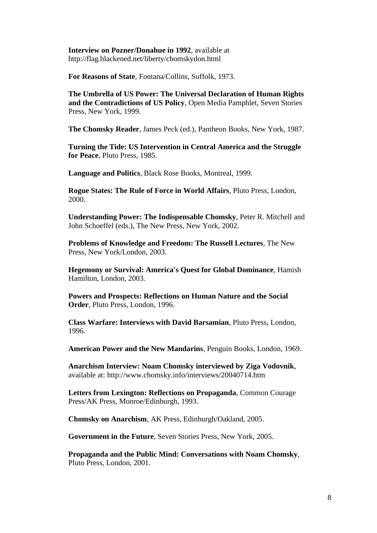**Interview on Pozner/Donahue in 1992**, available at http://flag.blackened.net/liberty/chomskydon.html

**For Reasons of State**, Fontana/Collins, Suffolk, 1973.

**The Umbrella of US Power: The Universal Declaration of Human Rights and the Contradictions of US Policy**, Open Media Pamphlet, Seven Stories Press, New York, 1999.

**The Chomsky Reader**, James Peck (ed.), Pantheon Books, New York, 1987.

**Turning the Tide: US Intervention in Central America and the Struggle for Peace**, Pluto Press, 1985.

**Language and Politics**, Black Rose Books, Montreal, 1999.

**Rogue States: The Rule of Force in World Affairs**, Pluto Press, London, 2000.

**Understanding Power: The Indispensable Chomsky**, Peter R. Mitchell and John Schoeffel (eds.), The New Press, New York, 2002.

**Problems of Knowledge and Freedom: The Russell Lectures**, The New Press, New York/London, 2003.

**Hegemony or Survival: America's Quest for Global Dominance**, Hamish Hamilton, London, 2003.

**Powers and Prospects: Reflections on Human Nature and the Social Order**, Pluto Press, London, 1996.

**Class Warfare: Interviews with David Barsamian**, Pluto Press, London, 1996.

**American Power and the New Mandarins**, Penguin Books, London, 1969.

**Anarchism Interview: Noam Chomsky interviewed by Ziga Vodovnik**, available at: http://www.chomsky.info/interviews/20040714.htm

**Letters from Lexington: Reflections on Propaganda**, Common Courage Press/AK Press, Monroe/Edinburgh, 1993.

**Chomsky on Anarchism**, AK Press, Edinburgh/Oakland, 2005.

**Government in the Future**, Seven Stories Press, New York, 2005.

**Propaganda and the Public Mind: Conversations with Noam Chomsky**, Pluto Press, London, 2001.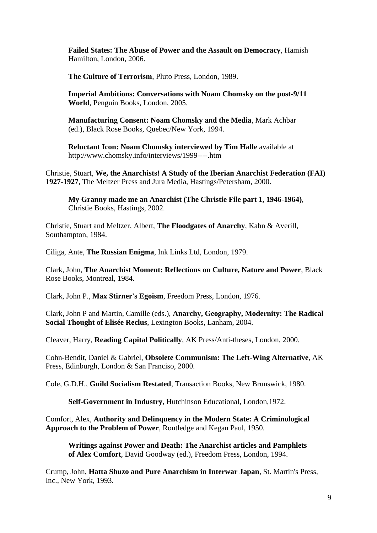**Failed States: The Abuse of Power and the Assault on Democracy**, Hamish Hamilton, London, 2006.

**The Culture of Terrorism**, Pluto Press, London, 1989.

**Imperial Ambitions: Conversations with Noam Chomsky on the post-9/11 World**, Penguin Books, London, 2005.

**Manufacturing Consent: Noam Chomsky and the Media**, Mark Achbar (ed.), Black Rose Books, Quebec/New York, 1994.

**Reluctant Icon: Noam Chomsky interviewed by Tim Halle** available at http://www.chomsky.info/interviews/1999----.htm

Christie, Stuart, **We, the Anarchists! A Study of the Iberian Anarchist Federation (FAI) 1927-1927**, The Meltzer Press and Jura Media, Hastings/Petersham, 2000.

**My Granny made me an Anarchist (The Christie File part 1, 1946-1964)**, Christie Books, Hastings, 2002.

Christie, Stuart and Meltzer, Albert, **The Floodgates of Anarchy**, Kahn & Averill, Southampton, 1984.

Ciliga, Ante, **The Russian Enigma**, Ink Links Ltd, London, 1979.

Clark, John, **The Anarchist Moment: Reflections on Culture, Nature and Power**, Black Rose Books, Montreal, 1984.

Clark, John P., **Max Stirner's Egoism**, Freedom Press, London, 1976.

Clark, John P and Martin, Camille (eds.), **Anarchy, Geography, Modernity: The Radical Social Thought of Elisée Reclus**, Lexington Books, Lanham, 2004.

Cleaver, Harry, **Reading Capital Politically**, AK Press/Anti-theses, London, 2000.

Cohn-Bendit, Daniel & Gabriel, **Obsolete Communism: The Left-Wing Alternative**, AK Press, Edinburgh, London & San Franciso, 2000.

Cole, G.D.H., **Guild Socialism Restated**, Transaction Books, New Brunswick, 1980.

**Self-Government in Industry**, Hutchinson Educational, London,1972.

Comfort, Alex, **Authority and Delinquency in the Modern State: A Criminological Approach to the Problem of Power**, Routledge and Kegan Paul, 1950.

**Writings against Power and Death: The Anarchist articles and Pamphlets of Alex Comfort**, David Goodway (ed.), Freedom Press, London, 1994.

Crump, John, **Hatta Shuzo and Pure Anarchism in Interwar Japan**, St. Martin's Press, Inc., New York, 1993.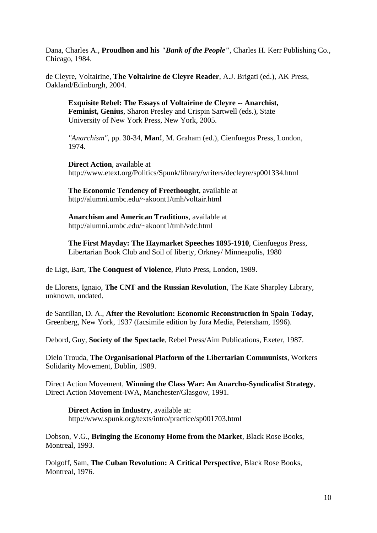Dana, Charles A., **Proudhon and his** *"Bank of the People"*, Charles H. Kerr Publishing Co., Chicago, 1984.

de Cleyre, Voltairine, **The Voltairine de Cleyre Reader**, A.J. Brigati (ed.), AK Press, Oakland/Edinburgh, 2004.

**Exquisite Rebel: The Essays of Voltairine de Cleyre -- Anarchist, Feminist, Genius**, Sharon Presley and Crispin Sartwell (eds.), State University of New York Press, New York, 2005.

*"Anarchism"*, pp. 30-34, **Man!**, M. Graham (ed.), Cienfuegos Press, London, 1974.

**Direct Action**, available at http://www.etext.org/Politics/Spunk/library/writers/decleyre/sp001334.html

**The Economic Tendency of Freethought**, available at http://alumni.umbc.edu/~akoont1/tmh/voltair.html

**Anarchism and American Traditions**, available at http://alumni.umbc.edu/~akoont1/tmh/vdc.html

**The First Mayday: The Haymarket Speeches 1895-1910**, Cienfuegos Press, Libertarian Book Club and Soil of liberty, Orkney/ Minneapolis, 1980

de Ligt, Bart, **The Conquest of Violence**, Pluto Press, London, 1989.

de Llorens, Ignaio, **The CNT and the Russian Revolution**, The Kate Sharpley Library, unknown, undated.

de Santillan, D. A., **After the Revolution: Economic Reconstruction in Spain Today**, Greenberg, New York, 1937 (facsimile edition by Jura Media, Petersham, 1996).

Debord, Guy, **Society of the Spectacle**, Rebel Press/Aim Publications, Exeter, 1987.

Dielo Trouda, **The Organisational Platform of the Libertarian Communists**, Workers Solidarity Movement, Dublin, 1989.

Direct Action Movement, **Winning the Class War: An Anarcho-Syndicalist Strategy**, Direct Action Movement-IWA, Manchester/Glasgow, 1991.

**Direct Action in Industry**, available at:

http://www.spunk.org/texts/intro/practice/sp001703.html

Dobson, V.G., **Bringing the Economy Home from the Market**, Black Rose Books, Montreal, 1993.

Dolgoff, Sam, **The Cuban Revolution: A Critical Perspective**, Black Rose Books, Montreal, 1976.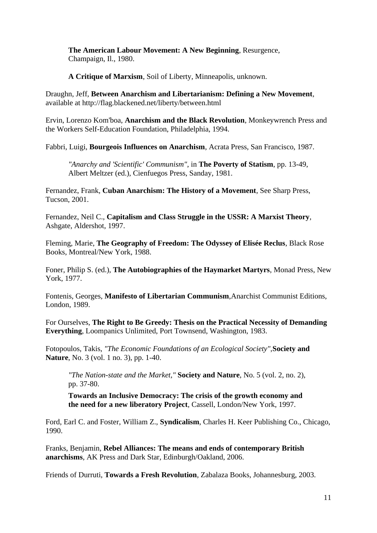**The American Labour Movement: A New Beginning**, Resurgence, Champaign, Il., 1980.

**A Critique of Marxism**, Soil of Liberty, Minneapolis, unknown.

Draughn, Jeff, **Between Anarchism and Libertarianism: Defining a New Movement**, available at http://flag.blackened.net/liberty/between.html

Ervin, Lorenzo Kom'boa, **Anarchism and the Black Revolution**, Monkeywrench Press and the Workers Self-Education Foundation, Philadelphia, 1994.

Fabbri, Luigi, **Bourgeois Influences on Anarchism**, Acrata Press, San Francisco, 1987.

*"Anarchy and 'Scientific' Communism"*, in **The Poverty of Statism**, pp. 13-49, Albert Meltzer (ed.), Cienfuegos Press, Sanday, 1981.

Fernandez, Frank, **Cuban Anarchism: The History of a Movement**, See Sharp Press, Tucson, 2001.

Fernandez, Neil C., **Capitalism and Class Struggle in the USSR: A Marxist Theory**, Ashgate, Aldershot, 1997.

Fleming, Marie, **The Geography of Freedom: The Odyssey of Elisée Reclus**, Black Rose Books, Montreal/New York, 1988.

Foner, Philip S. (ed.), **The Autobiographies of the Haymarket Martyrs**, Monad Press, New York, 1977.

Fontenis, Georges, **Manifesto of Libertarian Communism**,Anarchist Communist Editions, London, 1989.

For Ourselves, **The Right to Be Greedy: Thesis on the Practical Necessity of Demanding Everything**, Loompanics Unlimited, Port Townsend, Washington, 1983.

Fotopoulos, Takis, *"The Economic Foundations of an Ecological Society"*,**Society and Nature**, No. 3 (vol. 1 no. 3), pp. 1-40.

*"The Nation-state and the Market,"* **Society and Nature**, No. 5 (vol. 2, no. 2), pp. 37-80.

**Towards an Inclusive Democracy: The crisis of the growth economy and the need for a new liberatory Project**, Cassell, London/New York, 1997.

Ford, Earl C. and Foster, William Z., **Syndicalism**, Charles H. Keer Publishing Co., Chicago, 1990.

Franks, Benjamin, **Rebel Alliances: The means and ends of contemporary British anarchisms**, AK Press and Dark Star, Edinburgh/Oakland, 2006.

Friends of Durruti, **Towards a Fresh Revolution**, Zabalaza Books, Johannesburg, 2003.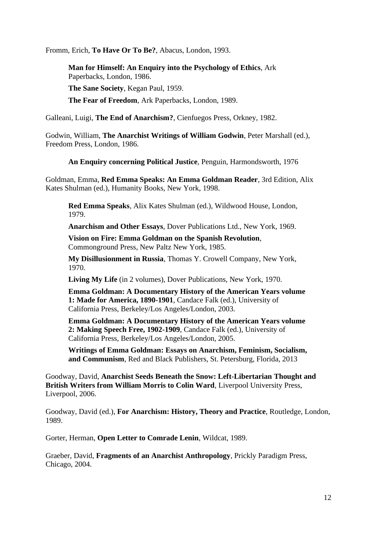Fromm, Erich, **To Have Or To Be?**, Abacus, London, 1993.

**Man for Himself: An Enquiry into the Psychology of Ethics**, Ark Paperbacks, London, 1986. **The Sane Society**, Kegan Paul, 1959. **The Fear of Freedom**, Ark Paperbacks, London, 1989.

Galleani, Luigi, **The End of Anarchism?**, Cienfuegos Press, Orkney, 1982.

Godwin, William, **The Anarchist Writings of William Godwin**, Peter Marshall (ed.), Freedom Press, London, 1986.

**An Enquiry concerning Political Justice**, Penguin, Harmondsworth, 1976

Goldman, Emma, **Red Emma Speaks: An Emma Goldman Reader**, 3rd Edition, Alix Kates Shulman (ed.), Humanity Books, New York, 1998.

**Red Emma Speaks**, Alix Kates Shulman (ed.), Wildwood House, London, 1979.

**Anarchism and Other Essays**, Dover Publications Ltd., New York, 1969.

**Vision on Fire: Emma Goldman on the Spanish Revolution**, Commonground Press, New Paltz New York, 1985.

**My Disillusionment in Russia**, Thomas Y. Crowell Company, New York, 1970.

**Living My Life** (in 2 volumes), Dover Publications, New York, 1970.

**Emma Goldman: A Documentary History of the American Years volume 1: Made for America, 1890-1901**, Candace Falk (ed.), University of California Press, Berkeley/Los Angeles/London, 2003.

**Emma Goldman: A Documentary History of the American Years volume 2: Making Speech Free, 1902-1909**, Candace Falk (ed.), University of California Press, Berkeley/Los Angeles/London, 2005.

**Writings of Emma Goldman: Essays on Anarchism, Feminism, Socialism, and Communism**, Red and Black Publishers, St. Petersburg, Florida, 2013

Goodway, David, **Anarchist Seeds Beneath the Snow: Left-Libertarian Thought and British Writers from William Morris to Colin Ward**, Liverpool University Press, Liverpool, 2006.

Goodway, David (ed.), **For Anarchism: History, Theory and Practice**, Routledge, London, 1989.

Gorter, Herman, **Open Letter to Comrade Lenin**, Wildcat, 1989.

Graeber, David, **Fragments of an Anarchist Anthropology**, Prickly Paradigm Press, Chicago, 2004.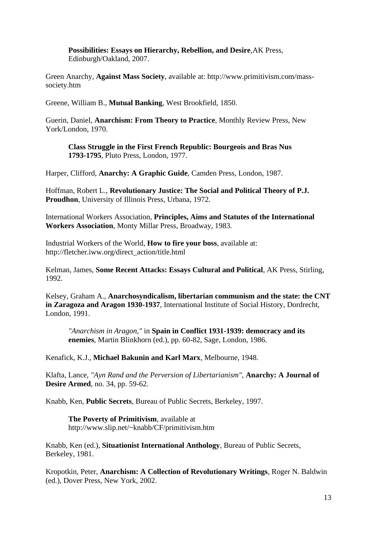**Possibilities: Essays on Hierarchy, Rebellion, and Desire**,AK Press, Edinburgh/Oakland, 2007.

Green Anarchy, **Against Mass Society**, available at: http://www.primitivism.com/masssociety.htm

Greene, William B., **Mutual Banking**, West Brookfield, 1850.

Guerin, Daniel, **Anarchism: From Theory to Practice**, Monthly Review Press, New York/London, 1970.

**Class Struggle in the First French Republic: Bourgeois and Bras Nus 1793-1795**, Pluto Press, London, 1977.

Harper, Clifford, **Anarchy: A Graphic Guide**, Camden Press, London, 1987.

Hoffman, Robert L., **Revolutionary Justice: The Social and Political Theory of P.J. Proudhon**, University of Illinois Press, Urbana, 1972.

International Workers Association, **Principles, Aims and Statutes of the International Workers Association**, Monty Millar Press, Broadway, 1983.

Industrial Workers of the World, **How to fire your boss**, available at: http://fletcher.iww.org/direct\_action/title.html

Kelman, James, **Some Recent Attacks: Essays Cultural and Political**, AK Press, Stirling, 1992.

Kelsey, Graham A., **Anarchosyndicalism, libertarian communism and the state: the CNT in Zaragoza and Aragon 1930-1937**, International Institute of Social History, Dordrecht, London, 1991.

*"Anarchism in Aragon,"* in **Spain in Conflict 1931-1939: democracy and its enemies**, Martin Blinkhorn (ed.), pp. 60-82, Sage, London, 1986.

Kenafick, K.J., **Michael Bakunin and Karl Marx**, Melbourne, 1948.

Klafta, Lance, *"Ayn Rand and the Perversion of Libertarianism"*, **Anarchy: A Journal of Desire Armed**, no. 34, pp. 59-62.

Knabb, Ken, **Public Secrets**, Bureau of Public Secrets, Berkeley, 1997.

**The Poverty of Primitivism**, available at http://www.slip.net/~knabb/CF/primitivism.htm

Knabb, Ken (ed.), **Situationist International Anthology**, Bureau of Public Secrets, Berkeley, 1981.

Kropotkin, Peter, **Anarchism: A Collection of Revolutionary Writings**, Roger N. Baldwin (ed.), Dover Press, New York, 2002.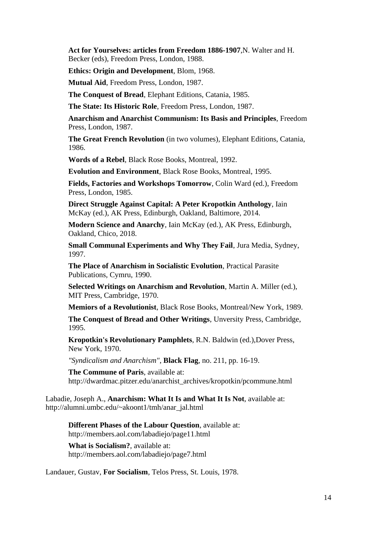**Act for Yourselves: articles from Freedom 1886-1907**,N. Walter and H. Becker (eds), Freedom Press, London, 1988.

**Ethics: Origin and Development**, Blom, 1968.

**Mutual Aid**, Freedom Press, London, 1987.

**The Conquest of Bread**, Elephant Editions, Catania, 1985.

**The State: Its Historic Role**, Freedom Press, London, 1987.

**Anarchism and Anarchist Communism: Its Basis and Principles**, Freedom Press, London, 1987.

**The Great French Revolution** (in two volumes), Elephant Editions, Catania, 1986.

**Words of a Rebel**, Black Rose Books, Montreal, 1992.

**Evolution and Environment**, Black Rose Books, Montreal, 1995.

**Fields, Factories and Workshops Tomorrow**, Colin Ward (ed.), Freedom Press, London, 1985.

**Direct Struggle Against Capital: A Peter Kropotkin Anthology**, Iain McKay (ed.), AK Press, Edinburgh, Oakland, Baltimore, 2014.

**Modern Science and Anarchy**, Iain McKay (ed.), AK Press, Edinburgh, Oakland, Chico, 2018.

**Small Communal Experiments and Why They Fail**, Jura Media, Sydney, 1997.

**The Place of Anarchism in Socialistic Evolution**, Practical Parasite Publications, Cymru, 1990.

**Selected Writings on Anarchism and Revolution**, Martin A. Miller (ed.), MIT Press, Cambridge, 1970.

**Memiors of a Revolutionist**, Black Rose Books, Montreal/New York, 1989.

**The Conquest of Bread and Other Writings**, Unversity Press, Cambridge, 1995.

**Kropotkin's Revolutionary Pamphlets**, R.N. Baldwin (ed.),Dover Press, New York, 1970.

*"Syndicalism and Anarchism"*, **Black Flag**, no. 211, pp. 16-19.

**The Commune of Paris**, available at: http://dwardmac.pitzer.edu/anarchist\_archives/kropotkin/pcommune.html

Labadie, Joseph A., **Anarchism: What It Is and What It Is Not**, available at: http://alumni.umbc.edu/~akoont1/tmh/anar\_jal.html

**Different Phases of the Labour Question**, available at: http://members.aol.com/labadiejo/page11.html

**What is Socialism?**, available at: http://members.aol.com/labadiejo/page7.html

Landauer, Gustav, **For Socialism**, Telos Press, St. Louis, 1978.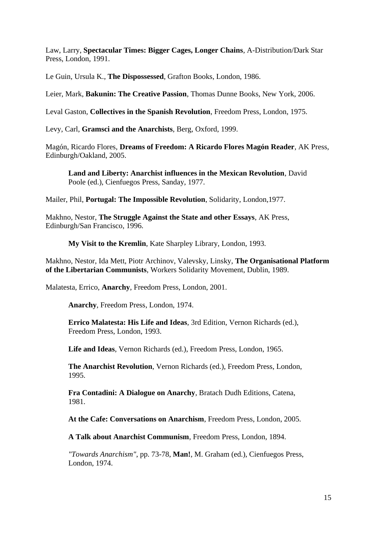Law, Larry, **Spectacular Times: Bigger Cages, Longer Chains**, A-Distribution/Dark Star Press, London, 1991.

Le Guin, Ursula K., **The Dispossessed**, Grafton Books, London, 1986.

Leier, Mark, **Bakunin: The Creative Passion**, Thomas Dunne Books, New York, 2006.

Leval Gaston, **Collectives in the Spanish Revolution**, Freedom Press, London, 1975.

Levy, Carl, **Gramsci and the Anarchists**, Berg, Oxford, 1999.

Magón, Ricardo Flores, **Dreams of Freedom: A Ricardo Flores Magón Reader**, AK Press, Edinburgh/Oakland, 2005.

**Land and Liberty: Anarchist influences in the Mexican Revolution**, David Poole (ed.), Cienfuegos Press, Sanday, 1977.

Mailer, Phil, **Portugal: The Impossible Revolution**, Solidarity, London,1977.

Makhno, Nestor, **The Struggle Against the State and other Essays**, AK Press, Edinburgh/San Francisco, 1996.

**My Visit to the Kremlin**, Kate Sharpley Library, London, 1993.

Makhno, Nestor, Ida Mett, Piotr Archinov, Valevsky, Linsky, **The Organisational Platform of the Libertarian Communists**, Workers Solidarity Movement, Dublin, 1989.

Malatesta, Errico, **Anarchy**, Freedom Press, London, 2001.

**Anarchy**, Freedom Press, London, 1974.

**Errico Malatesta: His Life and Ideas**, 3rd Edition, Vernon Richards (ed.), Freedom Press, London, 1993.

**Life and Ideas**, Vernon Richards (ed.), Freedom Press, London, 1965.

**The Anarchist Revolution**, Vernon Richards (ed.), Freedom Press, London, 1995.

**Fra Contadini: A Dialogue on Anarchy**, Bratach Dudh Editions, Catena, 1981.

**At the Cafe: Conversations on Anarchism**, Freedom Press, London, 2005.

**A Talk about Anarchist Communism**, Freedom Press, London, 1894.

*"Towards Anarchism"*, pp. 73-78, **Man!**, M. Graham (ed.), Cienfuegos Press, London, 1974.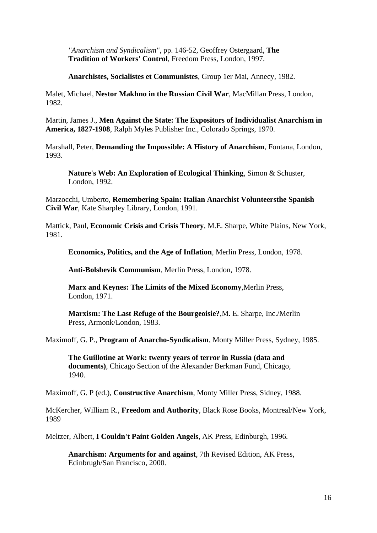*"Anarchism and Syndicalism"*, pp. 146-52, Geoffrey Ostergaard, **The Tradition of Workers' Control**, Freedom Press, London, 1997.

**Anarchistes, Socialistes et Communistes**, Group 1er Mai, Annecy, 1982.

Malet, Michael, **Nestor Makhno in the Russian Civil War**, MacMillan Press, London, 1982.

Martin, James J., **Men Against the State: The Expositors of Individualist Anarchism in America, 1827-1908**, Ralph Myles Publisher Inc., Colorado Springs, 1970.

Marshall, Peter, **Demanding the Impossible: A History of Anarchism**, Fontana, London, 1993.

**Nature's Web: An Exploration of Ecological Thinking**, Simon & Schuster, London, 1992.

Marzocchi, Umberto, **Remembering Spain: Italian Anarchist Volunteersthe Spanish Civil War**, Kate Sharpley Library, London, 1991.

Mattick, Paul, **Economic Crisis and Crisis Theory**, M.E. Sharpe, White Plains, New York, 1981.

**Economics, Politics, and the Age of Inflation**, Merlin Press, London, 1978.

**Anti-Bolshevik Communism**, Merlin Press, London, 1978.

**Marx and Keynes: The Limits of the Mixed Economy**,Merlin Press, London, 1971.

**Marxism: The Last Refuge of the Bourgeoisie?**,M. E. Sharpe, Inc./Merlin Press, Armonk/London, 1983.

Maximoff, G. P., **Program of Anarcho-Syndicalism**, Monty Miller Press, Sydney, 1985.

**The Guillotine at Work: twenty years of terror in Russia (data and documents)**, Chicago Section of the Alexander Berkman Fund, Chicago, 1940.

Maximoff, G. P (ed.), **Constructive Anarchism**, Monty Miller Press, Sidney, 1988.

McKercher, William R., **Freedom and Authority**, Black Rose Books, Montreal/New York, 1989

Meltzer, Albert, **I Couldn't Paint Golden Angels**, AK Press, Edinburgh, 1996.

**Anarchism: Arguments for and against**, 7th Revised Edition, AK Press, Edinbrugh/San Francisco, 2000.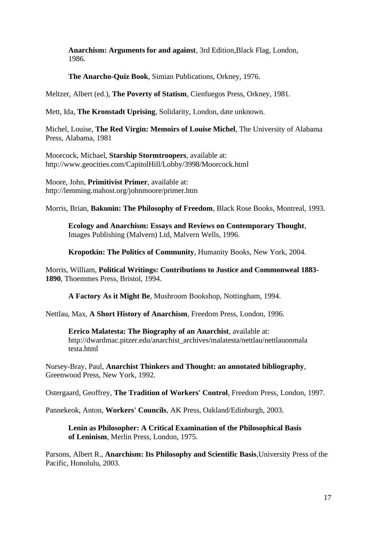**Anarchism: Arguments for and against**, 3rd Edition,Black Flag, London, 1986.

**The Anarcho-Quiz Book**, Simian Publications, Orkney, 1976.

Meltzer, Albert (ed.), **The Poverty of Statism**, Cienfuegos Press, Orkney, 1981.

Mett, Ida, **The Kronstadt Uprising**, Solidarity, London, date unknown.

Michel, Louise, **The Red Virgin: Memoirs of Louise Michel**, The University of Alabama Press, Alabama, 1981

Moorcock, Michael, **Starship Stormtroopers**, available at: http://www.geocities.com/CapitolHill/Lobby/3998/Moorcock.html

Moore, John, **Primitivist Primer**, available at: http://lemming.mahost.org/johnmoore/primer.htm

Morris, Brian, **Bakunin: The Philosophy of Freedom**, Black Rose Books, Montreal, 1993.

**Ecology and Anarchism: Essays and Reviews on Contemporary Thought**, Images Publishing (Malvern) Ltd, Malvern Wells, 1996.

**Kropotkin: The Politics of Community**, Humanity Books, New York, 2004.

Morris, William, **Political Writings: Contributions to Justice and Commonweal 1883- 1890**, Thoemmes Press, Bristol, 1994.

**A Factory As it Might Be**, Mushroom Bookshop, Nottingham, 1994.

Nettlau, Max, **A Short History of Anarchism**, Freedom Press, London, 1996.

**Errico Malatesta: The Biography of an Anarchist**, available at: http://dwardmac.pitzer.edu/anarchist\_archives/malatesta/nettlau/nettlauonmala testa.html

Nursey-Bray, Paul, **Anarchist Thinkers and Thought: an annotated bibliography**, Greenwood Press, New York, 1992.

Ostergaard, Geoffrey, **The Tradition of Workers' Control**, Freedom Press, London, 1997.

Pannekeok, Anton, **Workers' Councils**, AK Press, Oakland/Edinburgh, 2003.

**Lenin as Philosopher: A Critical Examination of the Philosophical Basis of Leninism**, Merlin Press, London, 1975.

Parsons, Albert R., **Anarchism: Its Philosophy and Scientific Basis**,University Press of the Pacific, Honolulu, 2003.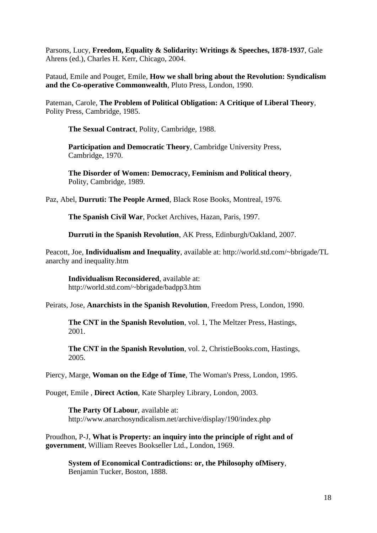Parsons, Lucy, **Freedom, Equality & Solidarity: Writings & Speeches, 1878-1937**, Gale Ahrens (ed.), Charles H. Kerr, Chicago, 2004.

Pataud, Emile and Pouget, Emile, **How we shall bring about the Revolution: Syndicalism and the Co-operative Commonwealth**, Pluto Press, London, 1990.

Pateman, Carole, **The Problem of Political Obligation: A Critique of Liberal Theory**, Polity Press, Cambridge, 1985.

**The Sexual Contract**, Polity, Cambridge, 1988.

**Participation and Democratic Theory**, Cambridge University Press, Cambridge, 1970.

**The Disorder of Women: Democracy, Feminism and Political theory**, Polity, Cambridge, 1989.

Paz, Abel, **Durruti: The People Armed**, Black Rose Books, Montreal, 1976.

**The Spanish Civil War**, Pocket Archives, Hazan, Paris, 1997.

**Durruti in the Spanish Revolution**, AK Press, Edinburgh/Oakland, 2007.

Peacott, Joe, **Individualism and Inequality**, available at: http://world.std.com/~bbrigade/TL anarchy and inequality.htm

**Individualism Reconsidered**, available at: http://world.std.com/~bbrigade/badpp3.htm

Peirats, Jose, **Anarchists in the Spanish Revolution**, Freedom Press, London, 1990.

**The CNT in the Spanish Revolution**, vol. 1, The Meltzer Press, Hastings, 2001.

**The CNT in the Spanish Revolution**, vol. 2, ChristieBooks.com, Hastings, 2005.

Piercy, Marge, **Woman on the Edge of Time**, The Woman's Press, London, 1995.

Pouget, Emile , **Direct Action**, Kate Sharpley Library, London, 2003.

**The Party Of Labour**, available at: http://www.anarchosyndicalism.net/archive/display/190/index.php

Proudhon, P-J, **What is Property: an inquiry into the principle of right and of government**, William Reeves Bookseller Ltd., London, 1969.

**System of Economical Contradictions: or, the Philosophy ofMisery**, Benjamin Tucker, Boston, 1888.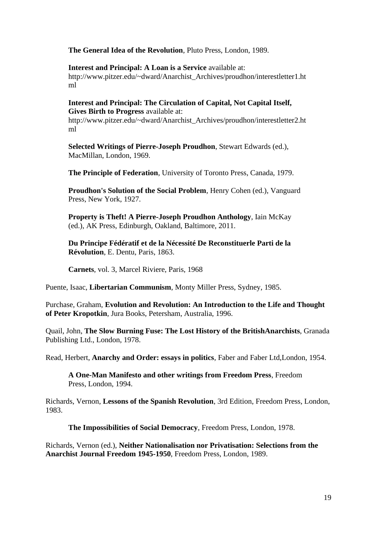**The General Idea of the Revolution**, Pluto Press, London, 1989.

**Interest and Principal: A Loan is a Service** available at: http://www.pitzer.edu/~dward/Anarchist\_Archives/proudhon/interestletter1.ht ml

**Interest and Principal: The Circulation of Capital, Not Capital Itself, Gives Birth to Progress** available at: http://www.pitzer.edu/~dward/Anarchist\_Archives/proudhon/interestletter2.ht

ml

**Selected Writings of Pierre-Joseph Proudhon**, Stewart Edwards (ed.), MacMillan, London, 1969.

**The Principle of Federation**, University of Toronto Press, Canada, 1979.

**Proudhon's Solution of the Social Problem**, Henry Cohen (ed.), Vanguard Press, New York, 1927.

**Property is Theft! A Pierre-Joseph Proudhon Anthology**, Iain McKay (ed.), AK Press, Edinburgh, Oakland, Baltimore, 2011.

**Du Principe Fédératif et de la Nécessité De Reconstituerle Parti de la Révolution**, E. Dentu, Paris, 1863.

**Carnets**, vol. 3, Marcel Riviere, Paris, 1968

Puente, Isaac, **Libertarian Communism**, Monty Miller Press, Sydney, 1985.

Purchase, Graham, **Evolution and Revolution: An Introduction to the Life and Thought of Peter Kropotkin**, Jura Books, Petersham, Australia, 1996.

Quail, John, **The Slow Burning Fuse: The Lost History of the BritishAnarchists**, Granada Publishing Ltd., London, 1978.

Read, Herbert, **Anarchy and Order: essays in politics**, Faber and Faber Ltd,London, 1954.

**A One-Man Manifesto and other writings from Freedom Press**, Freedom Press, London, 1994.

Richards, Vernon, **Lessons of the Spanish Revolution**, 3rd Edition, Freedom Press, London, 1983.

**The Impossibilities of Social Democracy**, Freedom Press, London, 1978.

Richards, Vernon (ed.), **Neither Nationalisation nor Privatisation: Selections from the Anarchist Journal Freedom 1945-1950**, Freedom Press, London, 1989.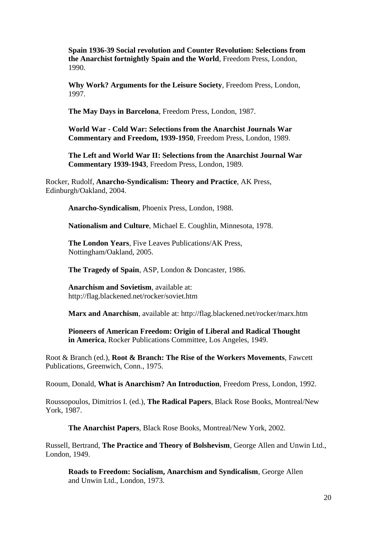**Spain 1936-39 Social revolution and Counter Revolution: Selections from the Anarchist fortnightly Spain and the World**, Freedom Press, London, 1990.

**Why Work? Arguments for the Leisure Society**, Freedom Press, London, 1997.

**The May Days in Barcelona**, Freedom Press, London, 1987.

**World War - Cold War: Selections from the Anarchist Journals War Commentary and Freedom, 1939-1950**, Freedom Press, London, 1989.

**The Left and World War II: Selections from the Anarchist Journal War Commentary 1939-1943**, Freedom Press, London, 1989.

Rocker, Rudolf, **Anarcho-Syndicalism: Theory and Practice**, AK Press, Edinburgh/Oakland, 2004.

**Anarcho-Syndicalism**, Phoenix Press, London, 1988.

**Nationalism and Culture**, Michael E. Coughlin, Minnesota, 1978.

**The London Years**, Five Leaves Publications/AK Press, Nottingham/Oakland, 2005.

**The Tragedy of Spain**, ASP, London & Doncaster, 1986.

**Anarchism and Sovietism**, available at: http://flag.blackened.net/rocker/soviet.htm

**Marx and Anarchism**, available at: http://flag.blackened.net/rocker/marx.htm

**Pioneers of American Freedom: Origin of Liberal and Radical Thought in America**, Rocker Publications Committee, Los Angeles, 1949.

Root & Branch (ed.), **Root & Branch: The Rise of the Workers Movements**, Fawcett Publications, Greenwich, Conn., 1975.

Rooum, Donald, **What is Anarchism? An Introduction**, Freedom Press, London, 1992.

Roussopoulos, Dimitrios I. (ed.), **The Radical Papers**, Black Rose Books, Montreal/New York, 1987.

**The Anarchist Papers**, Black Rose Books, Montreal/New York, 2002.

Russell, Bertrand, **The Practice and Theory of Bolshevism**, George Allen and Unwin Ltd., London, 1949.

**Roads to Freedom: Socialism, Anarchism and Syndicalism**, George Allen and Unwin Ltd., London, 1973.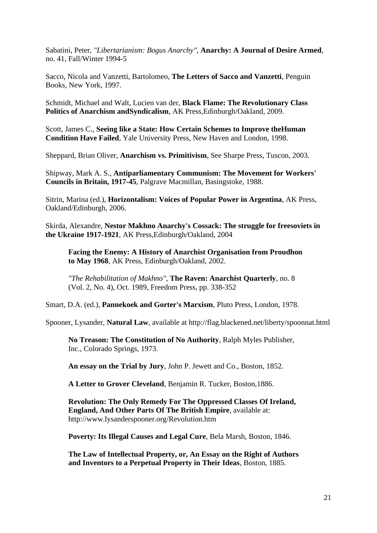Sabatini, Peter, *"Libertarianism: Bogus Anarchy"*, **Anarchy: A Journal of Desire Armed**, no. 41, Fall/Winter 1994-5

Sacco, Nicola and Vanzetti, Bartolomeo, **The Letters of Sacco and Vanzetti**, Penguin Books, New York, 1997.

Schmidt, Michael and Walt, Lucien van der, **Black Flame: The Revolutionary Class Politics of Anarchism andSyndicalism**, AK Press,Edinburgh/Oakland, 2009.

Scott, James C., **Seeing like a State: How Certain Schemes to Improve theHuman Condition Have Failed**, Yale University Press, New Haven and London, 1998.

Sheppard, Brian Oliver, **Anarchism vs. Primitivism**, See Sharpe Press, Tuscon, 2003.

Shipway, Mark A. S., **Antiparliamentary Communism: The Movement for Workers' Councils in Britain, 1917-45**, Palgrave Macmillan, Basingstoke, 1988.

Sitrin, Marina (ed.), **Horizontalism: Voices of Popular Power in Argentina**, AK Press, Oakland/Edinburgh, 2006.

Skirda, Alexandre, **Nestor Makhno Anarchy's Cossack: The struggle for freesoviets in the Ukraine 1917-1921**, AK Press,Edinburgh/Oakland, 2004

**Facing the Enemy: A History of Anarchist Organisation from Proudhon to May 1968**, AK Press, Edinburgh/Oakland, 2002.

*"The Rehabilitation of Makhno"*, **The Raven: Anarchist Quarterly**, no. 8 (Vol. 2, No. 4), Oct. 1989, Freedom Press, pp. 338-352

Smart, D.A. (ed.), **Pannekoek and Gorter's Marxism**, Pluto Press, London, 1978.

Spooner, Lysander, **Natural Law**, available at http://flag.blackened.net/liberty/spoonnat.html

**No Treason: The Constitution of No Authority**, Ralph Myles Publisher, Inc., Colorado Springs, 1973.

**An essay on the Trial by Jury**, John P. Jewett and Co., Boston, 1852.

**A Letter to Grover Cleveland**, Benjamin R. Tucker, Boston,1886.

**Revolution: The Only Remedy For The Oppressed Classes Of Ireland, England, And Other Parts Of The British Empire**, available at: http://www.lysanderspooner.org/Revolution.htm

**Poverty: Its Illegal Causes and Legal Cure**, Bela Marsh, Boston, 1846.

**The Law of Intellectual Property, or, An Essay on the Right of Authors and Inventors to a Perpetual Property in Their Ideas**, Boston, 1885.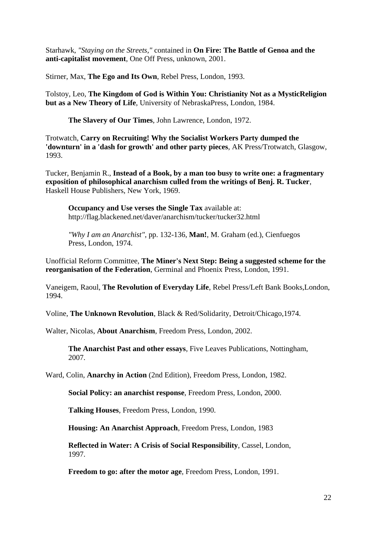Starhawk, *"Staying on the Streets,"* contained in **On Fire: The Battle of Genoa and the anti-capitalist movement**, One Off Press, unknown, 2001.

Stirner, Max, **The Ego and Its Own**, Rebel Press, London, 1993.

Tolstoy, Leo, **The Kingdom of God is Within You: Christianity Not as a MysticReligion but as a New Theory of Life**, University of NebraskaPress, London, 1984.

**The Slavery of Our Times**, John Lawrence, London, 1972.

Trotwatch, **Carry on Recruiting! Why the Socialist Workers Party dumped the 'downturn' in a 'dash for growth' and other party pieces**, AK Press/Trotwatch, Glasgow, 1993.

Tucker, Benjamin R., **Instead of a Book, by a man too busy to write one: a fragmentary exposition of philosophical anarchism culled from the writings of Benj. R. Tucker**, Haskell House Publishers, New York, 1969.

**Occupancy and Use verses the Single Tax** available at: http://flag.blackened.net/daver/anarchism/tucker/tucker32.html

*"Why I am an Anarchist"*, pp. 132-136, **Man!**, M. Graham (ed.), Cienfuegos Press, London, 1974.

Unofficial Reform Committee, **The Miner's Next Step: Being a suggested scheme for the reorganisation of the Federation**, Germinal and Phoenix Press, London, 1991.

Vaneigem, Raoul, **The Revolution of Everyday Life**, Rebel Press/Left Bank Books,London, 1994.

Voline, **The Unknown Revolution**, Black & Red/Solidarity, Detroit/Chicago,1974.

Walter, Nicolas, **About Anarchism**, Freedom Press, London, 2002.

**The Anarchist Past and other essays**, Five Leaves Publications, Nottingham, 2007.

Ward, Colin, **Anarchy in Action** (2nd Edition), Freedom Press, London, 1982.

**Social Policy: an anarchist response**, Freedom Press, London, 2000.

**Talking Houses**, Freedom Press, London, 1990.

**Housing: An Anarchist Approach**, Freedom Press, London, 1983

**Reflected in Water: A Crisis of Social Responsibility**, Cassel, London, 1997.

**Freedom to go: after the motor age**, Freedom Press, London, 1991.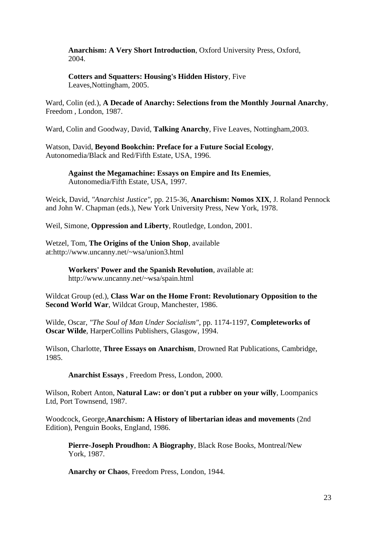**Anarchism: A Very Short Introduction**, Oxford University Press, Oxford, 2004.

**Cotters and Squatters: Housing's Hidden History**, Five Leaves,Nottingham, 2005.

Ward, Colin (ed.), **A Decade of Anarchy: Selections from the Monthly Journal Anarchy**, Freedom , London, 1987.

Ward, Colin and Goodway, David, **Talking Anarchy**, Five Leaves, Nottingham,2003.

Watson, David, **Beyond Bookchin: Preface for a Future Social Ecology**, Autonomedia/Black and Red/Fifth Estate, USA, 1996.

**Against the Megamachine: Essays on Empire and Its Enemies**, Autonomedia/Fifth Estate, USA, 1997.

Weick, David, *"Anarchist Justice"*, pp. 215-36, **Anarchism: Nomos XIX**, J. Roland Pennock and John W. Chapman (eds.), New York University Press, New York, 1978.

Weil, Simone, **Oppression and Liberty**, Routledge, London, 2001.

Wetzel, Tom, **The Origins of the Union Shop**, available at:http://www.uncanny.net/~wsa/union3.html

> **Workers' Power and the Spanish Revolution**, available at: http://www.uncanny.net/~wsa/spain.html

Wildcat Group (ed.), **Class War on the Home Front: Revolutionary Opposition to the Second World War**, Wildcat Group, Manchester, 1986.

Wilde, Oscar, *"The Soul of Man Under Socialism"*, pp. 1174-1197, **Completeworks of Oscar Wilde**, HarperCollins Publishers, Glasgow, 1994.

Wilson, Charlotte, **Three Essays on Anarchism**, Drowned Rat Publications, Cambridge, 1985.

**Anarchist Essays** , Freedom Press, London, 2000.

Wilson, Robert Anton, **Natural Law: or don't put a rubber on your willy**, Loompanics Ltd, Port Townsend, 1987.

Woodcock, George,**Anarchism: A History of libertarian ideas and movements** (2nd Edition), Penguin Books, England, 1986.

**Pierre-Joseph Proudhon: A Biography**, Black Rose Books, Montreal/New York, 1987.

**Anarchy or Chaos**, Freedom Press, London, 1944.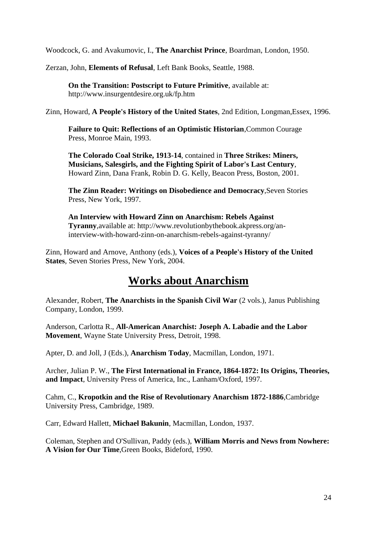Woodcock, G. and Avakumovic, I., **The Anarchist Prince**, Boardman, London, 1950.

Zerzan, John, **Elements of Refusal**, Left Bank Books, Seattle, 1988.

**On the Transition: Postscript to Future Primitive**, available at: http://www.insurgentdesire.org.uk/fp.htm

Zinn, Howard, **A People's History of the United States**, 2nd Edition, Longman,Essex, 1996.

**Failure to Quit: Reflections of an Optimistic Historian**,Common Courage Press, Monroe Main, 1993.

**The Colorado Coal Strike, 1913-14**, contained in **Three Strikes: Miners, Musicians, Salesgirls, and the Fighting Spirit of Labor's Last Century**, Howard Zinn, Dana Frank, Robin D. G. Kelly, Beacon Press, Boston, 2001.

**The Zinn Reader: Writings on Disobedience and Democracy**,Seven Stories Press, New York, 1997.

**An Interview with Howard Zinn on Anarchism: Rebels Against Tyranny**,available at: http://www.revolutionbythebook.akpress.org/aninterview-with-howard-zinn-on-anarchism-rebels-against-tyranny/

Zinn, Howard and Arnove, Anthony (eds.), **Voices of a People's History of the United States**, Seven Stories Press, New York, 2004.

#### **Works about Anarchism**

Alexander, Robert, **The Anarchists in the Spanish Civil War** (2 vols.), Janus Publishing Company, London, 1999.

Anderson, Carlotta R., **All-American Anarchist: Joseph A. Labadie and the Labor Movement**, Wayne State University Press, Detroit, 1998.

Apter, D. and Joll, J (Eds.), **Anarchism Today**, Macmillan, London, 1971.

Archer, Julian P. W., **The First International in France, 1864-1872: Its Origins, Theories, and Impact**, University Press of America, Inc., Lanham/Oxford, 1997.

Cahm, C., **Kropotkin and the Rise of Revolutionary Anarchism 1872-1886**,Cambridge University Press, Cambridge, 1989.

Carr, Edward Hallett, **Michael Bakunin**, Macmillan, London, 1937.

Coleman, Stephen and O'Sullivan, Paddy (eds.), **William Morris and News from Nowhere: A Vision for Our Time**,Green Books, Bideford, 1990.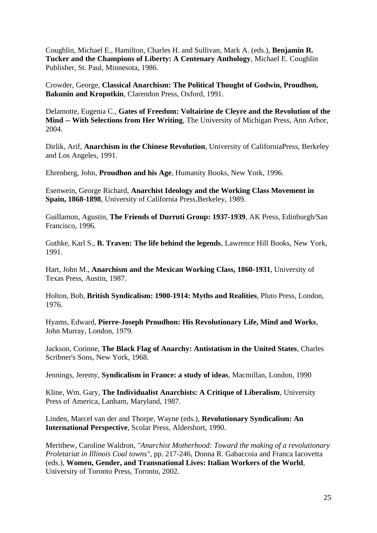Coughlin, Michael E., Hamilton, Charles H. and Sullivan, Mark A. (eds.), **Benjamin R. Tucker and the Champions of Liberty: A Centenary Anthology**, Michael E. Coughlin Publisher, St. Paul, Minnesota, 1986.

Crowder, George, **Classical Anarchism: The Political Thought of Godwin, Proudhon, Bakunin and Kropotkin**, Clarendon Press, Oxford, 1991.

Delamotte, Eugenia C., **Gates of Freedom: Voltairine de Cleyre and the Revolution of the Mind -- With Selections from Her Writing**, The University of Michigan Press, Ann Arbor, 2004.

Dirlik, Arif, **Anarchism in the Chinese Revolution**, University of CaliforniaPress, Berkeley and Los Angeles, 1991.

Ehrenberg, John, **Proudhon and his Age**, Humanity Books, New York, 1996.

Esenwein, George Richard, **Anarchist Ideology and the Working Class Movement in Spain, 1868-1898**, University of California Press, Berkeley, 1989.

Guillamon, Agustin, **The Friends of Durruti Group: 1937-1939**, AK Press, Edinburgh/San Francisco, 1996.

Guthke, Karl S., **B. Traven: The life behind the legends**, Lawrence Hill Books, New York, 1991.

Hart, John M., **Anarchism and the Mexican Working Class, 1860-1931**, University of Texas Press, Austin, 1987.

Holton, Bob, **British Syndicalism: 1900-1914: Myths and Realities**, Pluto Press, London, 1976.

Hyams, Edward, **Pierre-Joseph Proudhon: His Revolutionary Life, Mind and Works**, John Murray, London, 1979.

Jackson, Corinne, **The Black Flag of Anarchy: Antistatism in the United States**, Charles Scribner's Sons, New York, 1968.

Jennings, Jeremy, **Syndicalism in France: a study of ideas**, Macmillan, London, 1990

Kline, Wm. Gary, **The Individualist Anarchists: A Critique of Liberalism**, University Press of America, Lanham, Maryland, 1987.

Linden, Marcel van der and Thorpe, Wayne (eds.), **Revolutionary Syndicalism: An International Perspective**, Scolar Press, Aldershort, 1990.

Merithew, Caroline Waldron, *"Anarchist Motherhood: Toward the making of a revolutionary Proletariat in Illinois Coal towns"*, pp. 217-246, Donna R. Gabaccoia and Franca Iacovetta (eds.), **Women, Gender, and Transnational Lives: Italian Workers of the World**, University of Toronto Press, Toronto, 2002.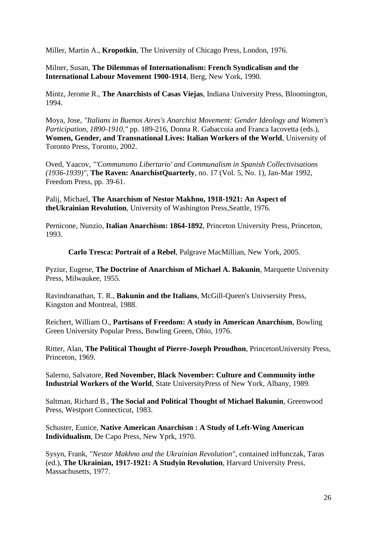Miller, Martin A., **Kropotkin**, The University of Chicago Press, London, 1976.

Milner, Susan, **The Dilemmas of Internationalism: French Syndicalism and the International Labour Movement 1900-1914**, Berg, New York, 1990.

Mintz, Jerome R., **The Anarchists of Casas Viejas**, Indiana University Press, Bloomington, 1994.

Moya, Jose, *"Italians in Buenos Aires's Anarchist Movement: Gender Ideology and Women's Participation, 1890-1910,"* pp. 189-216, Donna R. Gabaccoia and Franca Iacovetta (eds.), **Women, Gender, and Transnational Lives: Italian Workers of the World**, University of Toronto Press, Toronto, 2002.

Oved, Yaacov, *"'Communsmo Libertario' and Communalism in Spanish Collectivisations (1936-1939)"*, **The Raven: AnarchistQuarterly**, no. 17 (Vol. 5, No. 1), Jan-Mar 1992, Freedom Press, pp. 39-61.

Palij, Michael, **The Anarchism of Nestor Makhno, 1918-1921: An Aspect of theUkrainian Revolution**, University of Washington Press,Seattle, 1976.

Pernicone, Nunzio, **Italian Anarchism: 1864-1892**, Princeton University Press, Princeton, 1993.

**Carlo Tresca: Portrait of a Rebel**, Palgrave MacMillian, New York, 2005.

Pyziur, Eugene, **The Doctrine of Anarchism of Michael A. Bakunin**, Marquette University Press, Milwaukee, 1955.

Ravindranathan, T. R., **Bakunin and the Italians**, McGill-Queen's Univsersity Press, Kingston and Montreal, 1988.

Reichert, William O., **Partisans of Freedom: A study in American Anarchism**, Bowling Green University Popular Press, Bowling Green, Ohio, 1976.

Ritter, Alan, **The Political Thought of Pierre-Joseph Proudhon**, PrincetonUniversity Press, Princeton, 1969.

Salerno, Salvatore, **Red November, Black November: Culture and Community inthe Industrial Workers of the World**, State UniversityPress of New York, Albany, 1989.

Saltman, Richard B., **The Social and Political Thought of Michael Bakunin**, Greenwood Press, Westport Connecticut, 1983.

Schuster, Eunice, **Native American Anarchism : A Study of Left-Wing American Individualism**, De Capo Press, New Yprk, 1970.

Sysyn, Frank, *"Nestor Makhno and the Ukrainian Revolution"*, contained inHunczak, Taras (ed.), **The Ukrainian, 1917-1921: A Studyin Revolution**, Harvard University Press, Massachusetts, 1977.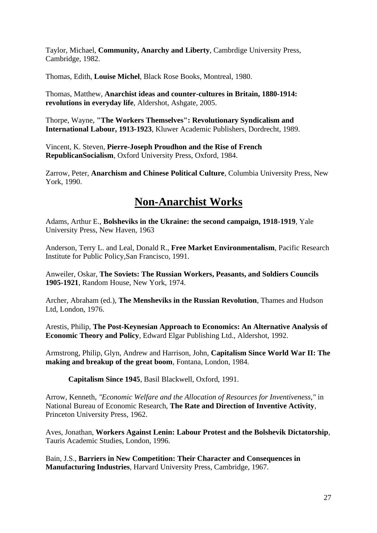Taylor, Michael, **Community, Anarchy and Liberty**, Cambrdige University Press, Cambridge, 1982.

Thomas, Edith, **Louise Michel**, Black Rose Books, Montreal, 1980.

Thomas, Matthew, **Anarchist ideas and counter-cultures in Britain, 1880-1914: revolutions in everyday life**, Aldershot, Ashgate, 2005.

Thorpe, Wayne, **"The Workers Themselves": Revolutionary Syndicalism and International Labour, 1913-1923**, Kluwer Academic Publishers, Dordrecht, 1989.

Vincent, K. Steven, **Pierre-Joseph Proudhon and the Rise of French RepublicanSocialism**, Oxford University Press, Oxford, 1984.

Zarrow, Peter, **Anarchism and Chinese Political Culture**, Columbia University Press, New York, 1990.

#### **Non-Anarchist Works**

Adams, Arthur E., **Bolsheviks in the Ukraine: the second campaign, 1918-1919**, Yale University Press, New Haven, 1963

Anderson, Terry L. and Leal, Donald R., **Free Market Environmentalism**, Pacific Research Institute for Public Policy,San Francisco, 1991.

Anweiler, Oskar, **The Soviets: The Russian Workers, Peasants, and Soldiers Councils 1905-1921**, Random House, New York, 1974.

Archer, Abraham (ed.), **The Mensheviks in the Russian Revolution**, Thames and Hudson Ltd, London, 1976.

Arestis, Philip, **The Post-Keynesian Approach to Economics: An Alternative Analysis of Economic Theory and Policy**, Edward Elgar Publishing Ltd., Aldershot, 1992.

Armstrong, Philip, Glyn, Andrew and Harrison, John, **Capitalism Since World War II: The making and breakup of the great boom**, Fontana, London, 1984.

**Capitalism Since 1945**, Basil Blackwell, Oxford, 1991.

Arrow, Kenneth, *"Economic Welfare and the Allocation of Resources for Inventiveness,"* in National Bureau of Economic Research, **The Rate and Direction of Inventive Activity**, Princeton University Press, 1962.

Aves, Jonathan, **Workers Against Lenin: Labour Protest and the Bolshevik Dictatorship**, Tauris Academic Studies, London, 1996.

Bain, J.S., **Barriers in New Competition: Their Character and Consequences in Manufacturing Industries**, Harvard University Press, Cambridge, 1967.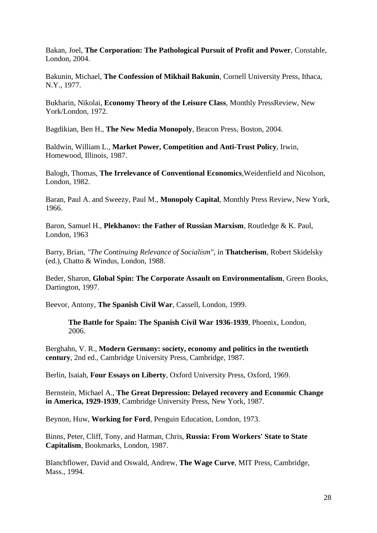Bakan, Joel, **The Corporation: The Pathological Pursuit of Profit and Power**, Constable, London, 2004.

Bakunin, Michael, **The Confession of Mikhail Bakunin**, Cornell University Press, Ithaca, N.Y., 1977.

Bukharin, Nikolai, **Economy Theory of the Leisure Class**, Monthly PressReview, New York/London, 1972.

Bagdikian, Ben H., **The New Media Monopoly**, Beacon Press, Boston, 2004.

Baldwin, William L., **Market Power, Competition and Anti-Trust Policy**, Irwin, Homewood, Illinois, 1987.

Balogh, Thomas, **The Irrelevance of Conventional Economics**,Weidenfield and Nicolson, London, 1982.

Baran, Paul A. and Sweezy, Paul M., **Monopoly Capital**, Monthly Press Review, New York, 1966.

Baron, Samuel H., **Plekhanov: the Father of Russian Marxism**, Routledge & K. Paul, London, 1963

Barry, Brian, *"The Continuing Relevance of Socialism"*, in **Thatcherism**, Robert Skidelsky (ed.), Chatto & Windus, London, 1988.

Beder, Sharon, **Global Spin: The Corporate Assault on Environmentalism**, Green Books, Dartington, 1997.

Beevor, Antony, **The Spanish Civil War**, Cassell, London, 1999.

**The Battle for Spain: The Spanish Civil War 1936-1939**, Phoenix, London, 2006.

Berghahn, V. R., **Modern Germany: society, economy and politics in the twentieth century**, 2nd ed., Cambridge University Press, Cambridge, 1987.

Berlin, Isaiah, **Four Essays on Liberty**, Oxford University Press, Oxford, 1969.

Bernstein, Michael A., **The Great Depression: Delayed recovery and Economic Change in America, 1929-1939**, Cambridge University Press, New York, 1987.

Beynon, Huw, **Working for Ford**, Penguin Education, London, 1973.

Binns, Peter, Cliff, Tony, and Harman, Chris, **Russia: From Workers' State to State Capitalism**, Bookmarks, London, 1987.

Blanchflower, David and Oswald, Andrew, **The Wage Curve**, MIT Press, Cambridge, Mass., 1994.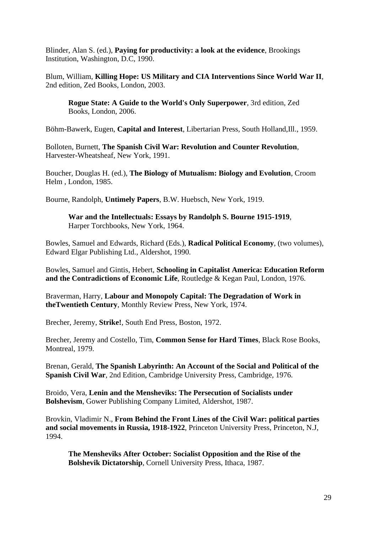Blinder, Alan S. (ed.), **Paying for productivity: a look at the evidence**, Brookings Institution, Washington, D.C, 1990.

Blum, William, **Killing Hope: US Military and CIA Interventions Since World War II**, 2nd edition, Zed Books, London, 2003.

**Rogue State: A Guide to the World's Only Superpower**, 3rd edition, Zed Books, London, 2006.

Böhm-Bawerk, Eugen, **Capital and Interest**, Libertarian Press, South Holland,Ill., 1959.

Bolloten, Burnett, **The Spanish Civil War: Revolution and Counter Revolution**, Harvester-Wheatsheaf, New York, 1991.

Boucher, Douglas H. (ed.), **The Biology of Mutualism: Biology and Evolution**, Croom Helm , London, 1985.

Bourne, Randolph, **Untimely Papers**, B.W. Huebsch, New York, 1919.

**War and the Intellectuals: Essays by Randolph S. Bourne 1915-1919**, Harper Torchbooks, New York, 1964.

Bowles, Samuel and Edwards, Richard (Eds.), **Radical Political Economy**, (two volumes), Edward Elgar Publishing Ltd., Aldershot, 1990.

Bowles, Samuel and Gintis, Hebert, **Schooling in Capitalist America: Education Reform and the Contradictions of Economic Life**, Routledge & Kegan Paul, London, 1976.

Braverman, Harry, **Labour and Monopoly Capital: The Degradation of Work in theTwentieth Century**, Monthly Review Press, New York, 1974.

Brecher, Jeremy, **Strike!**, South End Press, Boston, 1972.

Brecher, Jeremy and Costello, Tim, **Common Sense for Hard Times**, Black Rose Books, Montreal, 1979.

Brenan, Gerald, **The Spanish Labyrinth: An Account of the Social and Political of the Spanish Civil War**, 2nd Edition, Cambridge University Press, Cambridge, 1976.

Broido, Vera, **Lenin and the Mensheviks: The Persecution of Socialists under Bolshevism**, Gower Publishing Company Limited, Aldershot, 1987.

Brovkin, Vladimir N., **From Behind the Front Lines of the Civil War: political parties and social movements in Russia, 1918-1922**, Princeton University Press, Princeton, N.J, 1994.

**The Mensheviks After October: Socialist Opposition and the Rise of the Bolshevik Dictatorship**, Cornell University Press, Ithaca, 1987.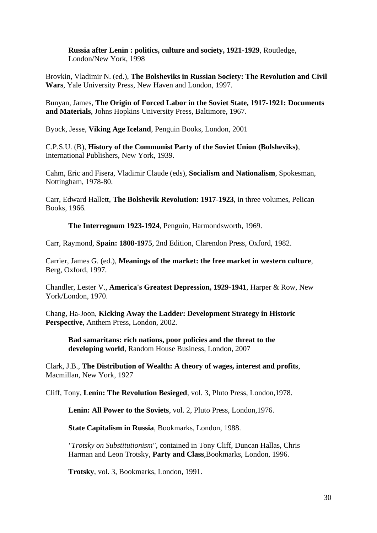**Russia after Lenin : politics, culture and society, 1921-1929**, Routledge, London/New York, 1998

Brovkin, Vladimir N. (ed.), **The Bolsheviks in Russian Society: The Revolution and Civil Wars**, Yale University Press, New Haven and London, 1997.

Bunyan, James, **The Origin of Forced Labor in the Soviet State, 1917-1921: Documents and Materials**, Johns Hopkins University Press, Baltimore, 1967.

Byock, Jesse, **Viking Age Iceland**, Penguin Books, London, 2001

C.P.S.U. (B), **History of the Communist Party of the Soviet Union (Bolsheviks)**, International Publishers, New York, 1939.

Cahm, Eric and Fisera, Vladimir Claude (eds), **Socialism and Nationalism**, Spokesman, Nottingham, 1978-80.

Carr, Edward Hallett, **The Bolshevik Revolution: 1917-1923**, in three volumes, Pelican Books, 1966.

**The Interregnum 1923-1924**, Penguin, Harmondsworth, 1969.

Carr, Raymond, **Spain: 1808-1975**, 2nd Edition, Clarendon Press, Oxford, 1982.

Carrier, James G. (ed.), **Meanings of the market: the free market in western culture**, Berg, Oxford, 1997.

Chandler, Lester V., **America's Greatest Depression, 1929-1941**, Harper & Row, New York/London, 1970.

Chang, Ha-Joon, **Kicking Away the Ladder: Development Strategy in Historic Perspective**, Anthem Press, London, 2002.

**Bad samaritans: rich nations, poor policies and the threat to the developing world**, Random House Business, London, 2007

Clark, J.B., **The Distribution of Wealth: A theory of wages, interest and profits**, Macmillan, New York, 1927

Cliff, Tony, **Lenin: The Revolution Besieged**, vol. 3, Pluto Press, London,1978.

**Lenin: All Power to the Soviets**, vol. 2, Pluto Press, London,1976.

**State Capitalism in Russia**, Bookmarks, London, 1988.

*"Trotsky on Substitutionism"*, contained in Tony Cliff, Duncan Hallas, Chris Harman and Leon Trotsky, **Party and Class**,Bookmarks, London, 1996.

**Trotsky**, vol. 3, Bookmarks, London, 1991.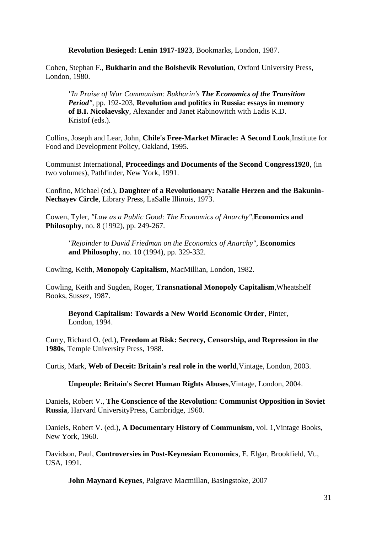**Revolution Besieged: Lenin 1917-1923**, Bookmarks, London, 1987.

Cohen, Stephan F., **Bukharin and the Bolshevik Revolution**, Oxford University Press, London, 1980.

*"In Praise of War Communism: Bukharin's The Economics of the Transition Period"*, pp. 192-203, **Revolution and politics in Russia: essays in memory of B.I. Nicolaevsky**, Alexander and Janet Rabinowitch with Ladis K.D. Kristof (eds.).

Collins, Joseph and Lear, John, **Chile's Free-Market Miracle: A Second Look**,Institute for Food and Development Policy, Oakland, 1995.

Communist International, **Proceedings and Documents of the Second Congress1920**, (in two volumes), Pathfinder, New York, 1991.

Confino, Michael (ed.), **Daughter of a Revolutionary: Natalie Herzen and the Bakunin-Nechayev Circle**, Library Press, LaSalle Illinois, 1973.

Cowen, Tyler, *"Law as a Public Good: The Economics of Anarchy"*,**Economics and Philosophy**, no. 8 (1992), pp. 249-267.

*"Rejoinder to David Friedman on the Economics of Anarchy"*, **Economics and Philosophy**, no. 10 (1994), pp. 329-332.

Cowling, Keith, **Monopoly Capitalism**, MacMillian, London, 1982.

Cowling, Keith and Sugden, Roger, **Transnational Monopoly Capitalism**,Wheatshelf Books, Sussez, 1987.

**Beyond Capitalism: Towards a New World Economic Order**, Pinter, London, 1994.

Curry, Richard O. (ed.), **Freedom at Risk: Secrecy, Censorship, and Repression in the 1980s**, Temple University Press, 1988.

Curtis, Mark, **Web of Deceit: Britain's real role in the world**,Vintage, London, 2003.

**Unpeople: Britain's Secret Human Rights Abuses**,Vintage, London, 2004.

Daniels, Robert V., **The Conscience of the Revolution: Communist Opposition in Soviet Russia**, Harvard UniversityPress, Cambridge, 1960.

Daniels, Robert V. (ed.), **A Documentary History of Communism**, vol. 1,Vintage Books, New York, 1960.

Davidson, Paul, **Controversies in Post-Keynesian Economics**, E. Elgar, Brookfield, Vt., USA, 1991.

**John Maynard Keynes**, Palgrave Macmillan, Basingstoke, 2007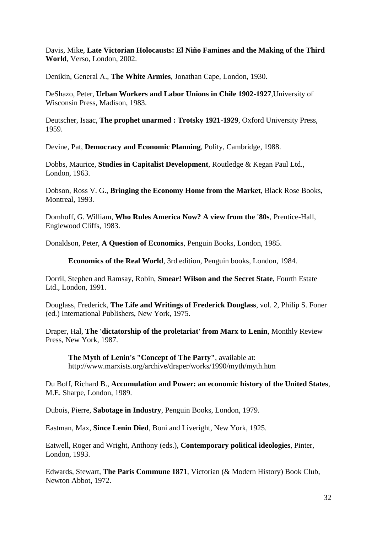Davis, Mike, **Late Victorian Holocausts: El Niño Famines and the Making of the Third World**, Verso, London, 2002.

Denikin, General A., **The White Armies**, Jonathan Cape, London, 1930.

DeShazo, Peter, **Urban Workers and Labor Unions in Chile 1902-1927**,University of Wisconsin Press, Madison, 1983.

Deutscher, Isaac, **The prophet unarmed : Trotsky 1921-1929**, Oxford University Press, 1959.

Devine, Pat, **Democracy and Economic Planning**, Polity, Cambridge, 1988.

Dobbs, Maurice, **Studies in Capitalist Development**, Routledge & Kegan Paul Ltd., London, 1963.

Dobson, Ross V. G., **Bringing the Economy Home from the Market**, Black Rose Books, Montreal, 1993.

Domhoff, G. William, **Who Rules America Now? A view from the '80s**, Prentice-Hall, Englewood Cliffs, 1983.

Donaldson, Peter, **A Question of Economics**, Penguin Books, London, 1985.

**Economics of the Real World**, 3rd edition, Penguin books, London, 1984.

Dorril, Stephen and Ramsay, Robin, **Smear! Wilson and the Secret State**, Fourth Estate Ltd., London, 1991.

Douglass, Frederick, **The Life and Writings of Frederick Douglass**, vol. 2, Philip S. Foner (ed.) International Publishers, New York, 1975.

Draper, Hal, **The 'dictatorship of the proletariat' from Marx to Lenin**, Monthly Review Press, New York, 1987.

**The Myth of Lenin's "Concept of The Party"**, available at: http://www.marxists.org/archive/draper/works/1990/myth/myth.htm

Du Boff, Richard B., **Accumulation and Power: an economic history of the United States**, M.E. Sharpe, London, 1989.

Dubois, Pierre, **Sabotage in Industry**, Penguin Books, London, 1979.

Eastman, Max, **Since Lenin Died**, Boni and Liveright, New York, 1925.

Eatwell, Roger and Wright, Anthony (eds.), **Contemporary political ideologies**, Pinter, London, 1993.

Edwards, Stewart, **The Paris Commune 1871**, Victorian (& Modern History) Book Club, Newton Abbot, 1972.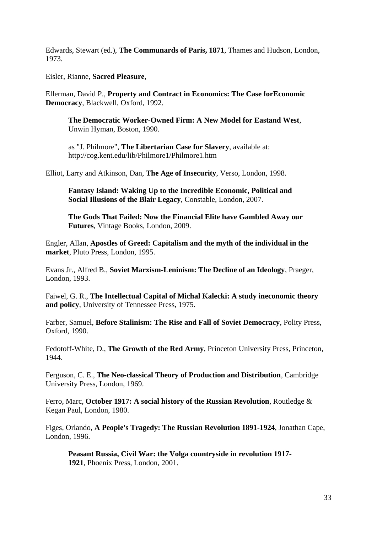Edwards, Stewart (ed.), **The Communards of Paris, 1871**, Thames and Hudson, London, 1973.

Eisler, Rianne, **Sacred Pleasure**,

Ellerman, David P., **Property and Contract in Economics: The Case forEconomic Democracy**, Blackwell, Oxford, 1992.

**The Democratic Worker-Owned Firm: A New Model for Eastand West**, Unwin Hyman, Boston, 1990.

as "J. Philmore", **The Libertarian Case for Slavery**, available at: http://cog.kent.edu/lib/Philmore1/Philmore1.htm

Elliot, Larry and Atkinson, Dan, **The Age of Insecurity**, Verso, London, 1998.

**Fantasy Island: Waking Up to the Incredible Economic, Political and Social Illusions of the Blair Legacy**, Constable, London, 2007.

**The Gods That Failed: Now the Financial Elite have Gambled Away our Futures**, Vintage Books, London, 2009.

Engler, Allan, **Apostles of Greed: Capitalism and the myth of the individual in the market**, Pluto Press, London, 1995.

Evans Jr., Alfred B., **Soviet Marxism-Leninism: The Decline of an Ideology**, Praeger, London, 1993.

Faiwel, G. R., **The Intellectual Capital of Michal Kalecki: A study ineconomic theory and policy**, University of Tennessee Press, 1975.

Farber, Samuel, **Before Stalinism: The Rise and Fall of Soviet Democracy**, Polity Press, Oxford, 1990.

Fedotoff-White, D., **The Growth of the Red Army**, Princeton University Press, Princeton, 1944.

Ferguson, C. E., **The Neo-classical Theory of Production and Distribution**, Cambridge University Press, London, 1969.

Ferro, Marc, **October 1917: A social history of the Russian Revolution**, Routledge & Kegan Paul, London, 1980.

Figes, Orlando, **A People's Tragedy: The Russian Revolution 1891-1924**, Jonathan Cape, London, 1996.

**Peasant Russia, Civil War: the Volga countryside in revolution 1917- 1921**, Phoenix Press, London, 2001.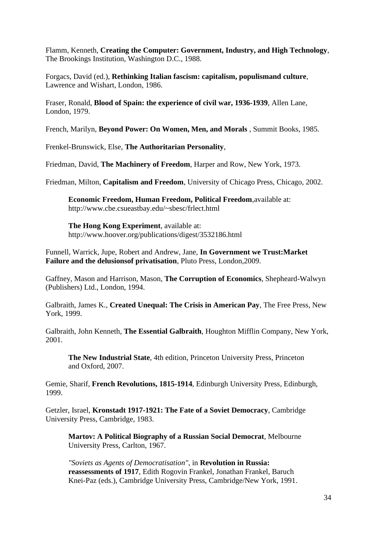Flamm, Kenneth, **Creating the Computer: Government, Industry, and High Technology**, The Brookings Institution, Washington D.C., 1988.

Forgacs, David (ed.), **Rethinking Italian fascism: capitalism, populismand culture**, Lawrence and Wishart, London, 1986.

Fraser, Ronald, **Blood of Spain: the experience of civil war, 1936-1939**, Allen Lane, London, 1979.

French, Marilyn, **Beyond Power: On Women, Men, and Morals** , Summit Books, 1985.

Frenkel-Brunswick, Else, **The Authoritarian Personality**,

Friedman, David, **The Machinery of Freedom**, Harper and Row, New York, 1973.

Friedman, Milton, **Capitalism and Freedom**, University of Chicago Press, Chicago, 2002.

**Economic Freedom, Human Freedom, Political Freedom**,available at: http://www.cbe.csueastbay.edu/~sbesc/frlect.html

**The Hong Kong Experiment**, available at: http://www.hoover.org/publications/digest/3532186.html

Funnell, Warrick, Jupe, Robert and Andrew, Jane, **In Government we Trust:Market Failure and the delusionsof privatisation**, Pluto Press, London,2009.

Gaffney, Mason and Harrison, Mason, **The Corruption of Economics**, Shepheard-Walwyn (Publishers) Ltd., London, 1994.

Galbraith, James K., **Created Unequal: The Crisis in American Pay**, The Free Press, New York, 1999.

Galbraith, John Kenneth, **The Essential Galbraith**, Houghton Mifflin Company, New York, 2001.

**The New Industrial State**, 4th edition, Princeton University Press, Princeton and Oxford, 2007.

Gemie, Sharif, **French Revolutions, 1815-1914**, Edinburgh University Press, Edinburgh, 1999.

Getzler, Israel, **Kronstadt 1917-1921: The Fate of a Soviet Democracy**, Cambridge University Press, Cambridge, 1983.

**Martov: A Political Biography of a Russian Social Democrat**, Melbourne University Press, Carlton, 1967.

*"Soviets as Agents of Democratisation"*, in **Revolution in Russia: reassessments of 1917**, Edith Rogovin Frankel, Jonathan Frankel, Baruch Knei-Paz (eds.), Cambridge University Press, Cambridge/New York, 1991.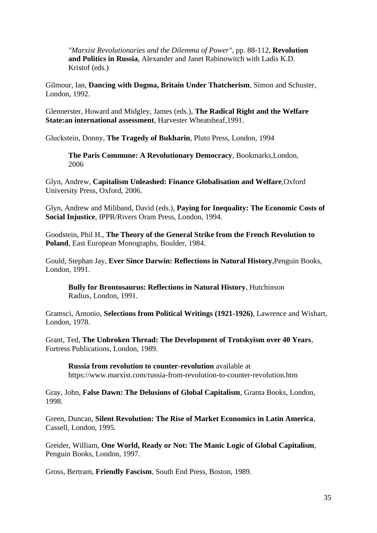*"Marxist Revolutionaries and the Dilemma of Power"*, pp. 88-112, **Revolution and Politics in Russia**, Alexander and Janet Rabinowitch with Ladis K.D. Kristof (eds.)

Gilmour, Ian, **Dancing with Dogma, Britain Under Thatcherism**, Simon and Schuster, London, 1992.

Glennerster, Howard and Midgley, James (eds.), **The Radical Right and the Welfare State:an international assessment**, Harvester Wheatsheaf,1991.

Gluckstein, Donny, **The Tragedy of Bukharin**, Pluto Press, London, 1994

**The Paris Commune: A Revolutionary Democracy**, Bookmarks,London, 2006

Glyn, Andrew, **Capitalism Unleashed: Finance Globalisation and Welfare**,Oxford University Press, Oxford, 2006.

Glyn, Andrew and Miliband, David (eds.), **Paying for Inequality: The Economic Costs of Social Injustice**, IPPR/Rivers Oram Press, London, 1994.

Goodstein, Phil H., **The Theory of the General Strike from the French Revolution to Poland**, East European Monographs, Boulder, 1984.

Gould, Stephan Jay, **Ever Since Darwin: Reflections in Natural History**,Penguin Books, London, 1991.

**Bully for Brontosaurus: Reflections in Natural History**, Hutchinson Radius, London, 1991.

Gramsci, Antonio, **Selections from Political Writings (1921-1926)**, Lawrence and Wishart, London, 1978.

Grant, Ted, **The Unbroken Thread: The Development of Trotskyism over 40 Years**, Fortress Publications, London, 1989.

**Russia from revolution to counter-revolution** available at https://www.marxist.com/russia-from-revolution-to-counter-revolution.htm

Gray, John, **False Dawn: The Delusions of Global Capitalism**, Granta Books, London, 1998.

Green, Duncan, **Silent Revolution: The Rise of Market Economics in Latin America**, Cassell, London, 1995.

Greider, William, **One World, Ready or Not: The Manic Logic of Global Capitalism**, Penguin Books, London, 1997.

Gross, Bertram, **Friendly Fascism**, South End Press, Boston, 1989.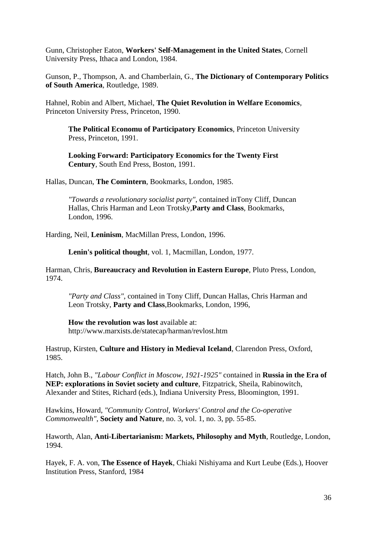Gunn, Christopher Eaton, **Workers' Self-Management in the United States**, Cornell University Press, Ithaca and London, 1984.

Gunson, P., Thompson, A. and Chamberlain, G., **The Dictionary of Contemporary Politics of South America**, Routledge, 1989.

Hahnel, Robin and Albert, Michael, **The Quiet Revolution in Welfare Economics**, Princeton University Press, Princeton, 1990.

**The Political Economu of Participatory Economics**, Princeton University Press, Princeton, 1991.

**Looking Forward: Participatory Economics for the Twenty First Century**, South End Press, Boston, 1991.

Hallas, Duncan, **The Comintern**, Bookmarks, London, 1985.

*"Towards a revolutionary socialist party"*, contained inTony Cliff, Duncan Hallas, Chris Harman and Leon Trotsky,**Party and Class**, Bookmarks, London, 1996.

Harding, Neil, **Leninism**, MacMillan Press, London, 1996.

**Lenin's political thought**, vol. 1, Macmillan, London, 1977.

Harman, Chris, **Bureaucracy and Revolution in Eastern Europe**, Pluto Press, London, 1974.

*"Party and Class"*, contained in Tony Cliff, Duncan Hallas, Chris Harman and Leon Trotsky, **Party and Class**,Bookmarks, London, 1996,

**How the revolution was lost** available at: http://www.marxists.de/statecap/harman/revlost.htm

Hastrup, Kirsten, **Culture and History in Medieval Iceland**, Clarendon Press, Oxford, 1985.

Hatch, John B., *"Labour Conflict in Moscow, 1921-1925"* contained in **Russia in the Era of NEP: explorations in Soviet society and culture**, Fitzpatrick, Sheila, Rabinowitch, Alexander and Stites, Richard (eds.), Indiana University Press, Bloomington, 1991.

Hawkins, Howard, *"Community Control, Workers' Control and the Co-operative Commonwealth"*, **Society and Nature**, no. 3, vol. 1, no. 3, pp. 55-85.

Haworth, Alan, **Anti-Libertarianism: Markets, Philosophy and Myth**, Routledge, London, 1994.

Hayek, F. A. von, **The Essence of Hayek**, Chiaki Nishiyama and Kurt Leube (Eds.), Hoover Institution Press, Stanford, 1984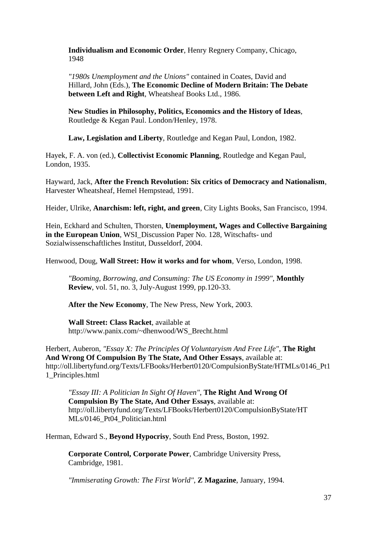**Individualism and Economic Order**, Henry Regnery Company, Chicago, 1948

*"1980s Unemployment and the Unions"* contained in Coates, David and Hillard, John (Eds.), **The Economic Decline of Modern Britain: The Debate between Left and Right**, Wheatsheaf Books Ltd., 1986.

**New Studies in Philosophy, Politics, Economics and the History of Ideas**, Routledge & Kegan Paul. London/Henley, 1978.

**Law, Legislation and Liberty**, Routledge and Kegan Paul, London, 1982.

Hayek, F. A. von (ed.), **Collectivist Economic Planning**, Routledge and Kegan Paul, London, 1935.

Hayward, Jack, **After the French Revolution: Six critics of Democracy and Nationalism**, Harvester Wheatsheaf, Hemel Hempstead, 1991.

Heider, Ulrike, **Anarchism: left, right, and green**, City Lights Books, San Francisco, 1994.

Hein, Eckhard and Schulten, Thorsten, **Unemployment, Wages and Collective Bargaining in the European Union, WSI** Discussion Paper No. 128, Witschafts- und Sozialwissenschaftliches Institut, Dusseldorf, 2004.

Henwood, Doug, **Wall Street: How it works and for whom**, Verso, London, 1998.

*"Booming, Borrowing, and Consuming: The US Economy in 1999"*, **Monthly Review**, vol. 51, no. 3, July-August 1999, pp.120-33.

**After the New Economy**, The New Press, New York, 2003.

**Wall Street: Class Racket**, available at http://www.panix.com/~dhenwood/WS\_Brecht.html

Herbert, Auberon, *"Essay X: The Principles Of Voluntaryism And Free Life"*, **The Right And Wrong Of Compulsion By The State, And Other Essays**, available at: http://oll.libertyfund.org/Texts/LFBooks/Herbert0120/CompulsionByState/HTMLs/0146\_Pt1 1\_Principles.html

*"Essay III: A Politician In Sight Of Haven"*, **The Right And Wrong Of Compulsion By The State, And Other Essays**, available at: http://oll.libertyfund.org/Texts/LFBooks/Herbert0120/CompulsionByState/HT MLs/0146\_Pt04\_Politician.html

Herman, Edward S., **Beyond Hypocrisy**, South End Press, Boston, 1992.

**Corporate Control, Corporate Power**, Cambridge University Press, Cambridge, 1981.

*"Immiserating Growth: The First World"*, **Z Magazine**, January, 1994.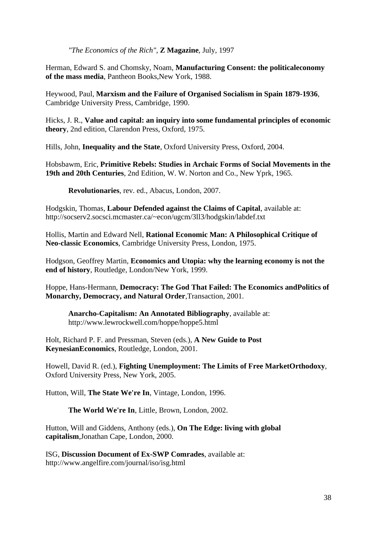*"The Economics of the Rich"*, **Z Magazine**, July, 1997

Herman, Edward S. and Chomsky, Noam, **Manufacturing Consent: the politicaleconomy of the mass media**, Pantheon Books,New York, 1988.

Heywood, Paul, **Marxism and the Failure of Organised Socialism in Spain 1879-1936**, Cambridge University Press, Cambridge, 1990.

Hicks, J. R., **Value and capital: an inquiry into some fundamental principles of economic theory**, 2nd edition, Clarendon Press, Oxford, 1975.

Hills, John, **Inequality and the State**, Oxford University Press, Oxford, 2004.

Hobsbawm, Eric, **Primitive Rebels: Studies in Archaic Forms of Social Movements in the 19th and 20th Centuries**, 2nd Edition, W. W. Norton and Co., New Yprk, 1965.

**Revolutionaries**, rev. ed., Abacus, London, 2007.

Hodgskin, Thomas, **Labour Defended against the Claims of Capital**, available at: http://socserv2.socsci.mcmaster.ca/~econ/ugcm/3ll3/hodgskin/labdef.txt

Hollis, Martin and Edward Nell, **Rational Economic Man: A Philosophical Critique of Neo-classic Economics**, Cambridge University Press, London, 1975.

Hodgson, Geoffrey Martin, **Economics and Utopia: why the learning economy is not the end of history**, Routledge, London/New York, 1999.

Hoppe, Hans-Hermann, **Democracy: The God That Failed: The Economics andPolitics of Monarchy, Democracy, and Natural Order**,Transaction, 2001.

**Anarcho-Capitalism: An Annotated Bibliography**, available at: http://www.lewrockwell.com/hoppe/hoppe5.html

Holt, Richard P. F. and Pressman, Steven (eds.), **A New Guide to Post KeynesianEconomics**, Routledge, London, 2001.

Howell, David R. (ed.), **Fighting Unemployment: The Limits of Free MarketOrthodoxy**, Oxford University Press, New York, 2005.

Hutton, Will, **The State We're In**, Vintage, London, 1996.

**The World We're In**, Little, Brown, London, 2002.

Hutton, Will and Giddens, Anthony (eds.), **On The Edge: living with global capitalism**,Jonathan Cape, London, 2000.

ISG, **Discussion Document of Ex-SWP Comrades**, available at: http://www.angelfire.com/journal/iso/isg.html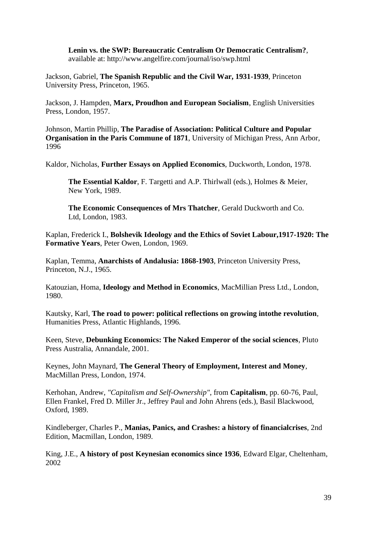**Lenin vs. the SWP: Bureaucratic Centralism Or Democratic Centralism?**, available at: http://www.angelfire.com/journal/iso/swp.html

Jackson, Gabriel, **The Spanish Republic and the Civil War, 1931-1939**, Princeton University Press, Princeton, 1965.

Jackson, J. Hampden, **Marx, Proudhon and European Socialism**, English Universities Press, London, 1957.

Johnson, Martin Phillip, **The Paradise of Association: Political Culture and Popular Organisation in the Paris Commune of 1871**, University of Michigan Press, Ann Arbor, 1996

Kaldor, Nicholas, **Further Essays on Applied Economics**, Duckworth, London, 1978.

**The Essential Kaldor**, F. Targetti and A.P. Thirlwall (eds.), Holmes & Meier, New York, 1989.

**The Economic Consequences of Mrs Thatcher**, Gerald Duckworth and Co. Ltd, London, 1983.

Kaplan, Frederick I., **Bolshevik Ideology and the Ethics of Soviet Labour,1917-1920: The Formative Years**, Peter Owen, London, 1969.

Kaplan, Temma, **Anarchists of Andalusia: 1868-1903**, Princeton University Press, Princeton, N.J., 1965.

Katouzian, Homa, **Ideology and Method in Economics**, MacMillian Press Ltd., London, 1980.

Kautsky, Karl, **The road to power: political reflections on growing intothe revolution**, Humanities Press, Atlantic Highlands, 1996.

Keen, Steve, **Debunking Economics: The Naked Emperor of the social sciences**, Pluto Press Australia, Annandale, 2001.

Keynes, John Maynard, **The General Theory of Employment, Interest and Money**, MacMillan Press, London, 1974.

Kerhohan, Andrew, *"Capitalism and Self-Ownership"*, from **Capitalism**, pp. 60-76, Paul, Ellen Frankel, Fred D. Miller Jr., Jeffrey Paul and John Ahrens (eds.), Basil Blackwood, Oxford, 1989.

Kindleberger, Charles P., **Manias, Panics, and Crashes: a history of financialcrises**, 2nd Edition, Macmillan, London, 1989.

King, J.E., **A history of post Keynesian economics since 1936**, Edward Elgar, Cheltenham, 2002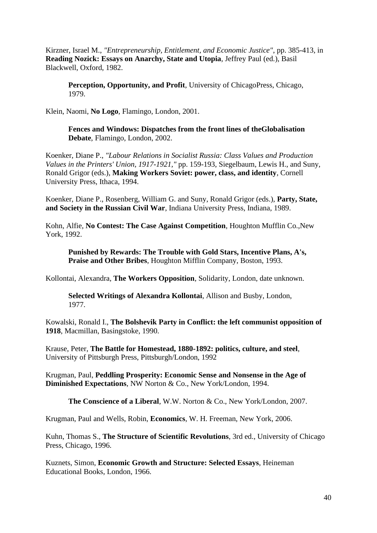Kirzner, Israel M., *"Entrepreneurship, Entitlement, and Economic Justice"*, pp. 385-413, in **Reading Nozick: Essays on Anarchy, State and Utopia**, Jeffrey Paul (ed.), Basil Blackwell, Oxford, 1982.

**Perception, Opportunity, and Profit**, University of ChicagoPress, Chicago, 1979.

Klein, Naomi, **No Logo**, Flamingo, London, 2001.

**Fences and Windows: Dispatches from the front lines of theGlobalisation Debate**, Flamingo, London, 2002.

Koenker, Diane P., *"Labour Relations in Socialist Russia: Class Values and Production Values in the Printers' Union, 1917-1921,"* pp. 159-193, Siegelbaum, Lewis H., and Suny, Ronald Grigor (eds.), **Making Workers Soviet: power, class, and identity**, Cornell University Press, Ithaca, 1994.

Koenker, Diane P., Rosenberg, William G. and Suny, Ronald Grigor (eds.), **Party, State, and Society in the Russian Civil War**, Indiana University Press, Indiana, 1989.

Kohn, Alfie, **No Contest: The Case Against Competition**, Houghton Mufflin Co.,New York, 1992.

**Punished by Rewards: The Trouble with Gold Stars, Incentive Plans, A's, Praise and Other Bribes**, Houghton Mifflin Company, Boston, 1993.

Kollontai, Alexandra, **The Workers Opposition**, Solidarity, London, date unknown.

**Selected Writings of Alexandra Kollontai**, Allison and Busby, London, 1977.

Kowalski, Ronald I., **The Bolshevik Party in Conflict: the left communist opposition of 1918**, Macmillan, Basingstoke, 1990.

Krause, Peter, **The Battle for Homestead, 1880-1892: politics, culture, and steel**, University of Pittsburgh Press, Pittsburgh/London, 1992

Krugman, Paul, **Peddling Prosperity: Economic Sense and Nonsense in the Age of Diminished Expectations**, NW Norton & Co., New York/London, 1994.

**The Conscience of a Liberal**, W.W. Norton & Co., New York/London, 2007.

Krugman, Paul and Wells, Robin, **Economics**, W. H. Freeman, New York, 2006.

Kuhn, Thomas S., **The Structure of Scientific Revolutions**, 3rd ed., University of Chicago Press, Chicago, 1996.

Kuznets, Simon, **Economic Growth and Structure: Selected Essays**, Heineman Educational Books, London, 1966.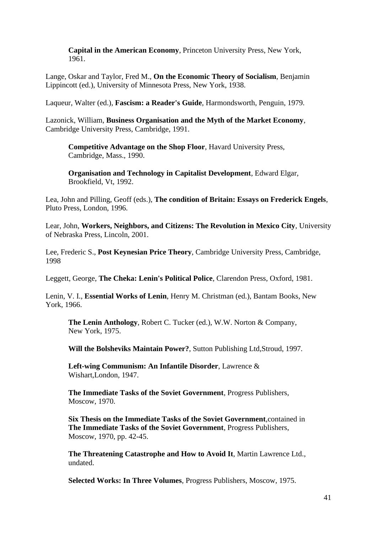**Capital in the American Economy**, Princeton University Press, New York, 1961.

Lange, Oskar and Taylor, Fred M., **On the Economic Theory of Socialism**, Benjamin Lippincott (ed.), University of Minnesota Press, New York, 1938.

Laqueur, Walter (ed.), **Fascism: a Reader's Guide**, Harmondsworth, Penguin, 1979.

Lazonick, William, **Business Organisation and the Myth of the Market Economy**, Cambridge University Press, Cambridge, 1991.

**Competitive Advantage on the Shop Floor**, Havard University Press, Cambridge, Mass., 1990.

**Organisation and Technology in Capitalist Development**, Edward Elgar, Brookfield, Vt, 1992.

Lea, John and Pilling, Geoff (eds.), **The condition of Britain: Essays on Frederick Engels**, Pluto Press, London, 1996.

Lear, John, **Workers, Neighbors, and Citizens: The Revolution in Mexico City**, University of Nebraska Press, Lincoln, 2001.

Lee, Frederic S., **Post Keynesian Price Theory**, Cambridge University Press, Cambridge, 1998

Leggett, George, **The Cheka: Lenin's Political Police**, Clarendon Press, Oxford, 1981.

Lenin, V. I., **Essential Works of Lenin**, Henry M. Christman (ed.), Bantam Books, New York, 1966.

**The Lenin Anthology**, Robert C. Tucker (ed.), W.W. Norton & Company, New York, 1975.

**Will the Bolsheviks Maintain Power?**, Sutton Publishing Ltd,Stroud, 1997.

**Left-wing Communism: An Infantile Disorder**, Lawrence & Wishart,London, 1947.

**The Immediate Tasks of the Soviet Government**, Progress Publishers, Moscow, 1970.

**Six Thesis on the Immediate Tasks of the Soviet Government**,contained in **The Immediate Tasks of the Soviet Government**, Progress Publishers, Moscow, 1970, pp. 42-45.

**The Threatening Catastrophe and How to Avoid It**, Martin Lawrence Ltd., undated.

**Selected Works: In Three Volumes**, Progress Publishers, Moscow, 1975.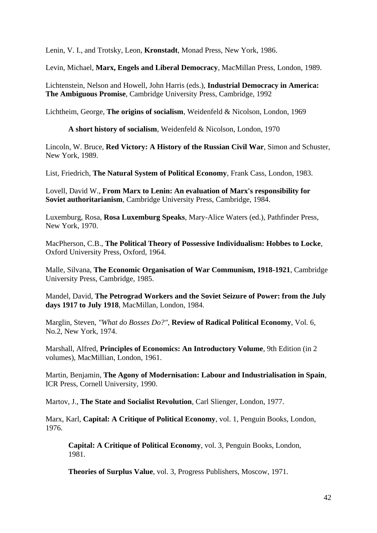Lenin, V. I., and Trotsky, Leon, **Kronstadt**, Monad Press, New York, 1986.

Levin, Michael, **Marx, Engels and Liberal Democracy**, MacMillan Press, London, 1989.

Lichtenstein, Nelson and Howell, John Harris (eds.), **Industrial Democracy in America: The Ambiguous Promise**, Cambridge University Press, Cambridge, 1992

Lichtheim, George, **The origins of socialism**, Weidenfeld & Nicolson, London, 1969

**A short history of socialism**, Weidenfeld & Nicolson, London, 1970

Lincoln, W. Bruce, **Red Victory: A History of the Russian Civil War**, Simon and Schuster, New York, 1989.

List, Friedrich, **The Natural System of Political Economy**, Frank Cass, London, 1983.

Lovell, David W., **From Marx to Lenin: An evaluation of Marx's responsibility for Soviet authoritarianism**, Cambridge University Press, Cambridge, 1984.

Luxemburg, Rosa, **Rosa Luxemburg Speaks**, Mary-Alice Waters (ed.), Pathfinder Press, New York, 1970.

MacPherson, C.B., **The Political Theory of Possessive Individualism: Hobbes to Locke**, Oxford University Press, Oxford, 1964.

Malle, Silvana, **The Economic Organisation of War Communism, 1918-1921**, Cambridge University Press, Cambridge, 1985.

Mandel, David, **The Petrograd Workers and the Soviet Seizure of Power: from the July days 1917 to July 1918**, MacMillan, London, 1984.

Marglin, Steven, *"What do Bosses Do?"*, **Review of Radical Political Economy**, Vol. 6, No.2, New York, 1974.

Marshall, Alfred, **Principles of Economics: An Introductory Volume**, 9th Edition (in 2 volumes), MacMillian, London, 1961.

Martin, Benjamin, **The Agony of Modernisation: Labour and Industrialisation in Spain**, ICR Press, Cornell University, 1990.

Martov, J., **The State and Socialist Revolution**, Carl Slienger, London, 1977.

Marx, Karl, **Capital: A Critique of Political Economy**, vol. 1, Penguin Books, London, 1976.

**Capital: A Critique of Political Economy**, vol. 3, Penguin Books, London, 1981.

**Theories of Surplus Value**, vol. 3, Progress Publishers, Moscow, 1971.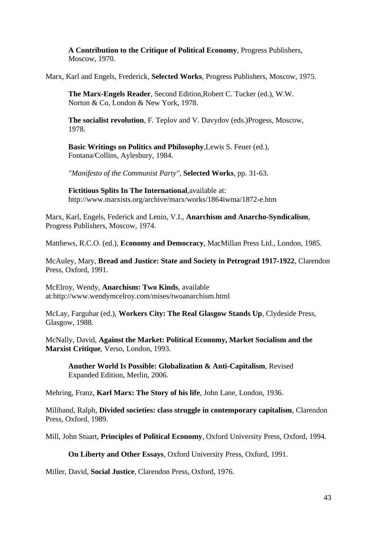**A Contribution to the Critique of Political Economy**, Progress Publishers, Moscow, 1970.

Marx, Karl and Engels, Frederick, **Selected Works**, Progress Publishers, Moscow, 1975.

**The Marx-Engels Reader**, Second Edition,Robert C. Tucker (ed.), W.W. Norton & Co, London & New York, 1978.

**The socialist revolution**, F. Teplov and V. Davydov (eds.)Progess, Moscow, 1978.

**Basic Writings on Politics and Philosophy**,Lewis S. Feuer (ed.), Fontana/Collins, Aylesbury, 1984.

*"Manifesto of the Communist Party"*, **Selected Works**, pp. 31-63.

**Fictitious Splits In The International**,available at: http://www.marxists.org/archive/marx/works/1864iwma/1872-e.htm

Marx, Karl, Engels, Federick and Lenin, V.I., **Anarchism and Anarcho-Syndicalism**, Progress Publishers, Moscow, 1974.

Matthews, R.C.O. (ed.), **Economy and Democracy**, MacMillan Press Ltd., London, 1985.

McAuley, Mary, **Bread and Justice: State and Society in Petrograd 1917-1922**, Clarendon Press, Oxford, 1991.

McElroy, Wendy, **Anarchism: Two Kinds**, available at:http://www.wendymcelroy.com/mises/twoanarchism.html

McLay, Farguhar (ed.), **Workers City: The Real Glasgow Stands Up**, Clydeside Press, Glasgow, 1988.

McNally, David, **Against the Market: Political Economy, Market Socialism and the Marxist Critique**, Verso, London, 1993.

**Another World Is Possible: Globalization & Anti-Capitalism**, Revised Expanded Edition, Merlin, 2006.

Mehring, Franz, **Karl Marx: The Story of his life**, John Lane, London, 1936.

Miliband, Ralph, **Divided societies: class struggle in contemporary capitalism**, Clarendon Press, Oxford, 1989.

Mill, John Stuart, **Principles of Political Economy**, Oxford University Press, Oxford, 1994.

**On Liberty and Other Essays**, Oxford University Press, Oxford, 1991.

Miller, David, **Social Justice**, Clarendon Press, Oxford, 1976.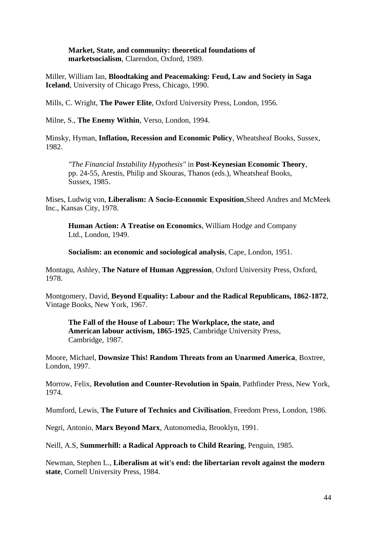#### **Market, State, and community: theoretical foundations of marketsocialism**, Clarendon, Oxford, 1989.

Miller, William Ian, **Bloodtaking and Peacemaking: Feud, Law and Society in Saga Iceland**, University of Chicago Press, Chicago, 1990.

Mills, C. Wright, **The Power Elite**, Oxford University Press, London, 1956.

Milne, S., **The Enemy Within**, Verso, London, 1994.

Minsky, Hyman, **Inflation, Recession and Economic Policy**, Wheatsheaf Books, Sussex, 1982.

*"The Financial Instability Hypothesis"* in **Post-Keynesian Economic Theory**, pp. 24-55, Arestis, Philip and Skouras, Thanos (eds.), Wheatsheaf Books, Sussex, 1985.

Mises, Ludwig von, **Liberalism: A Socio-Economic Exposition**,Sheed Andres and McMeek Inc., Kansas City, 1978.

**Human Action: A Treatise on Economics**, William Hodge and Company Ltd., London, 1949.

**Socialism: an economic and sociological analysis**, Cape, London, 1951.

Montagu, Ashley, **The Nature of Human Aggression**, Oxford University Press, Oxford, 1978.

Montgomery, David, **Beyond Equality: Labour and the Radical Republicans, 1862-1872**, Vintage Books, New York, 1967.

**The Fall of the House of Labour: The Workplace, the state, and American labour activism, 1865-1925**, Cambridge University Press, Cambridge, 1987.

Moore, Michael, **Downsize This! Random Threats from an Unarmed America**, Boxtree, London, 1997.

Morrow, Felix, **Revolution and Counter-Revolution in Spain**, Pathfinder Press, New York, 1974.

Mumford, Lewis, **The Future of Technics and Civilisation**, Freedom Press, London, 1986.

Negri, Antonio, **Marx Beyond Marx**, Autonomedia, Brooklyn, 1991.

Neill, A.S, **Summerhill: a Radical Approach to Child Rearing**, Penguin, 1985.

Newman, Stephen L., **Liberalism at wit's end: the libertarian revolt against the modern state**, Cornell University Press, 1984.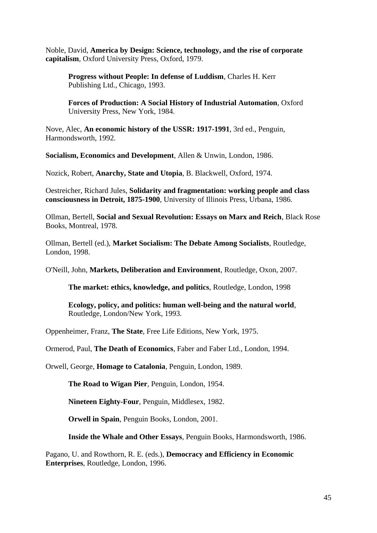Noble, David, **America by Design: Science, technology, and the rise of corporate capitalism**, Oxford University Press, Oxford, 1979.

**Progress without People: In defense of Luddism**, Charles H. Kerr Publishing Ltd., Chicago, 1993.

**Forces of Production: A Social History of Industrial Automation**, Oxford University Press, New York, 1984.

Nove, Alec, **An economic history of the USSR: 1917-1991**, 3rd ed., Penguin, Harmondsworth, 1992.

**Socialism, Economics and Development**, Allen & Unwin, London, 1986.

Nozick, Robert, **Anarchy, State and Utopia**, B. Blackwell, Oxford, 1974.

Oestreicher, Richard Jules, **Solidarity and fragmentation: working people and class consciousness in Detroit, 1875-1900**, University of Illinois Press, Urbana, 1986.

Ollman, Bertell, **Social and Sexual Revolution: Essays on Marx and Reich**, Black Rose Books, Montreal, 1978.

Ollman, Bertell (ed.), **Market Socialism: The Debate Among Socialists**, Routledge, London, 1998.

O'Neill, John, **Markets, Deliberation and Environment**, Routledge, Oxon, 2007.

**The market: ethics, knowledge, and politics**, Routledge, London, 1998

**Ecology, policy, and politics: human well-being and the natural world**, Routledge, London/New York, 1993.

Oppenheimer, Franz, **The State**, Free Life Editions, New York, 1975.

Ormerod, Paul, **The Death of Economics**, Faber and Faber Ltd., London, 1994.

Orwell, George, **Homage to Catalonia**, Penguin, London, 1989.

**The Road to Wigan Pier**, Penguin, London, 1954.

**Nineteen Eighty-Four**, Penguin, Middlesex, 1982.

**Orwell in Spain**, Penguin Books, London, 2001.

**Inside the Whale and Other Essays**, Penguin Books, Harmondsworth, 1986.

Pagano, U. and Rowthorn, R. E. (eds.), **Democracy and Efficiency in Economic Enterprises**, Routledge, London, 1996.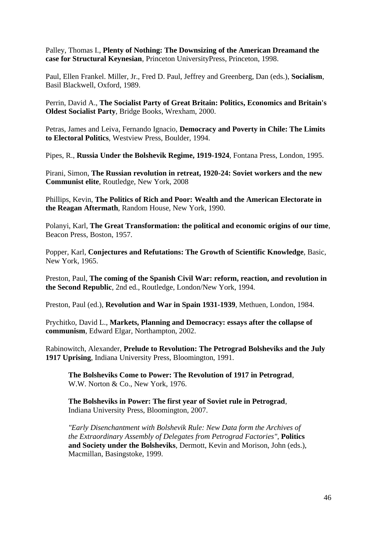Palley, Thomas I., **Plenty of Nothing: The Downsizing of the American Dreamand the case for Structural Keynesian**, Princeton UniversityPress, Princeton, 1998.

Paul, Ellen Frankel. Miller, Jr., Fred D. Paul, Jeffrey and Greenberg, Dan (eds.), **Socialism**, Basil Blackwell, Oxford, 1989.

Perrin, David A., **The Socialist Party of Great Britain: Politics, Economics and Britain's Oldest Socialist Party**, Bridge Books, Wrexham, 2000.

Petras, James and Leiva, Fernando Ignacio, **Democracy and Poverty in Chile: The Limits to Electoral Politics**, Westview Press, Boulder, 1994.

Pipes, R., **Russia Under the Bolshevik Regime, 1919-1924**, Fontana Press, London, 1995.

Pirani, Simon, **The Russian revolution in retreat, 1920-24: Soviet workers and the new Communist elite**, Routledge, New York, 2008

Phillips, Kevin, **The Politics of Rich and Poor: Wealth and the American Electorate in the Reagan Aftermath**, Random House, New York, 1990.

Polanyi, Karl, **The Great Transformation: the political and economic origins of our time**, Beacon Press, Boston, 1957.

Popper, Karl, **Conjectures and Refutations: The Growth of Scientific Knowledge**, Basic, New York, 1965.

Preston, Paul, **The coming of the Spanish Civil War: reform, reaction, and revolution in the Second Republic**, 2nd ed., Routledge, London/New York, 1994.

Preston, Paul (ed.), **Revolution and War in Spain 1931-1939**, Methuen, London, 1984.

Prychitko, David L., **Markets, Planning and Democracy: essays after the collapse of communism**, Edward Elgar, Northampton, 2002.

Rabinowitch, Alexander, **Prelude to Revolution: The Petrograd Bolsheviks and the July 1917 Uprising**, Indiana University Press, Bloomington, 1991.

**The Bolsheviks Come to Power: The Revolution of 1917 in Petrograd**, W.W. Norton & Co., New York, 1976.

**The Bolsheviks in Power: The first year of Soviet rule in Petrograd**, Indiana University Press, Bloomington, 2007.

*"Early Disenchantment with Bolshevik Rule: New Data form the Archives of the Extraordinary Assembly of Delegates from Petrograd Factories"*, **Politics and Society under the Bolsheviks**, Dermott, Kevin and Morison, John (eds.), Macmillan, Basingstoke, 1999.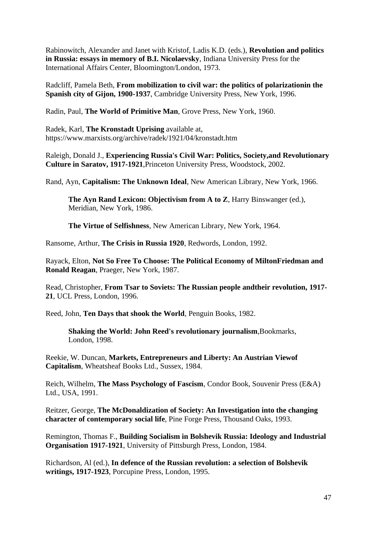Rabinowitch, Alexander and Janet with Kristof, Ladis K.D. (eds.), **Revolution and politics in Russia: essays in memory of B.I. Nicolaevsky**, Indiana University Press for the International Affairs Center, Bloomington/London, 1973.

Radcliff, Pamela Beth, **From mobilization to civil war: the politics of polarizationin the Spanish city of Gijon, 1900-1937**, Cambridge University Press, New York, 1996.

Radin, Paul, **The World of Primitive Man**, Grove Press, New York, 1960.

Radek, Karl, **The Kronstadt Uprising** available at, https://www.marxists.org/archive/radek/1921/04/kronstadt.htm

Raleigh, Donald J., **Experiencing Russia's Civil War: Politics, Society,and Revolutionary Culture in Saratov, 1917-1921**,Princeton University Press, Woodstock, 2002.

Rand, Ayn, **Capitalism: The Unknown Ideal**, New American Library, New York, 1966.

**The Ayn Rand Lexicon: Objectivism from A to Z**, Harry Binswanger (ed.), Meridian, New York, 1986.

**The Virtue of Selfishness**, New American Library, New York, 1964.

Ransome, Arthur, **The Crisis in Russia 1920**, Redwords, London, 1992.

Rayack, Elton, **Not So Free To Choose: The Political Economy of MiltonFriedman and Ronald Reagan**, Praeger, New York, 1987.

Read, Christopher, **From Tsar to Soviets: The Russian people andtheir revolution, 1917- 21**, UCL Press, London, 1996.

Reed, John, **Ten Days that shook the World**, Penguin Books, 1982.

**Shaking the World: John Reed's revolutionary journalism**,Bookmarks, London, 1998.

Reekie, W. Duncan, **Markets, Entrepreneurs and Liberty: An Austrian Viewof Capitalism**, Wheatsheaf Books Ltd., Sussex, 1984.

Reich, Wilhelm, **The Mass Psychology of Fascism**, Condor Book, Souvenir Press (E&A) Ltd., USA, 1991.

Reitzer, George, **The McDonaldization of Society: An Investigation into the changing character of contemporary social life**, Pine Forge Press, Thousand Oaks, 1993.

Remington, Thomas F., **Building Socialism in Bolshevik Russia: Ideology and Industrial Organisation 1917-1921**, University of Pittsburgh Press, London, 1984.

Richardson, Al (ed.), **In defence of the Russian revolution: a selection of Bolshevik writings, 1917-1923**, Porcupine Press, London, 1995.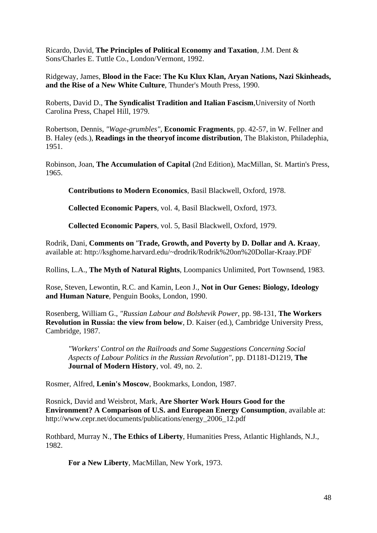Ricardo, David, **The Principles of Political Economy and Taxation**, J.M. Dent & Sons/Charles E. Tuttle Co., London/Vermont, 1992.

Ridgeway, James, **Blood in the Face: The Ku Klux Klan, Aryan Nations, Nazi Skinheads, and the Rise of a New White Culture**, Thunder's Mouth Press, 1990.

Roberts, David D., **The Syndicalist Tradition and Italian Fascism**,University of North Carolina Press, Chapel Hill, 1979.

Robertson, Dennis, *"Wage-grumbles"*, **Economic Fragments**, pp. 42-57, in W. Fellner and B. Haley (eds.), **Readings in the theoryof income distribution**, The Blakiston, Philadephia, 1951.

Robinson, Joan, **The Accumulation of Capital** (2nd Edition), MacMillan, St. Martin's Press, 1965.

**Contributions to Modern Economics**, Basil Blackwell, Oxford, 1978.

**Collected Economic Papers**, vol. 4, Basil Blackwell, Oxford, 1973.

**Collected Economic Papers**, vol. 5, Basil Blackwell, Oxford, 1979.

Rodrik, Dani, **Comments on 'Trade, Growth, and Poverty by D. Dollar and A. Kraay**, available at: http://ksghome.harvard.edu/~drodrik/Rodrik%20on%20Dollar-Kraay.PDF

Rollins, L.A., **The Myth of Natural Rights**, Loompanics Unlimited, Port Townsend, 1983.

Rose, Steven, Lewontin, R.C. and Kamin, Leon J., **Not in Our Genes: Biology, Ideology and Human Nature**, Penguin Books, London, 1990.

Rosenberg, William G., *"Russian Labour and Bolshevik Power*, pp. 98-131, **The Workers Revolution in Russia: the view from below**, D. Kaiser (ed.), Cambridge University Press, Cambridge, 1987.

*"Workers' Control on the Railroads and Some Suggestions Concerning Social Aspects of Labour Politics in the Russian Revolution"*, pp. D1181-D1219, **The Journal of Modern History**, vol. 49, no. 2.

Rosmer, Alfred, **Lenin's Moscow**, Bookmarks, London, 1987.

Rosnick, David and Weisbrot, Mark, **Are Shorter Work Hours Good for the Environment? A Comparison of U.S. and European Energy Consumption**, available at: http://www.cepr.net/documents/publications/energy\_2006\_12.pdf

Rothbard, Murray N., **The Ethics of Liberty**, Humanities Press, Atlantic Highlands, N.J., 1982.

**For a New Liberty**, MacMillan, New York, 1973.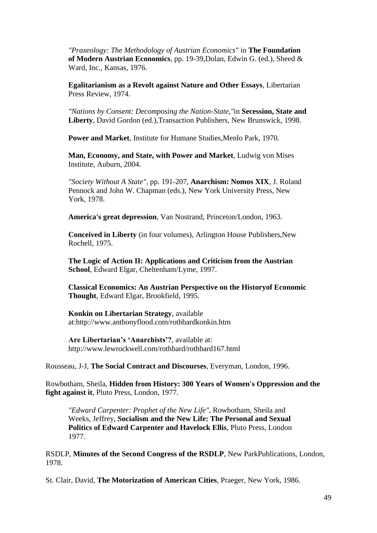*"Praxeology: The Methodology of Austrian Economics"* in **The Foundation of Modern Austrian Economics**, pp. 19-39,Dolan, Edwin G. (ed.), Sheed & Ward, Inc., Kansas, 1976.

**Egalitarianism as a Revolt against Nature and Other Essays**, Libertarian Press Review, 1974.

*"Nations by Consent: Decomposing the Nation-State,"*in **Secession, State and Liberty**, David Gordon (ed.),Transaction Publishers, New Brunswick, 1998.

**Power and Market**, Institute for Humane Studies,Menlo Park, 1970.

**Man, Economy, and State, with Power and Market**, Ludwig von Mises Institute, Auburn, 2004.

*"Society Without A State"*, pp. 191-207, **Anarchism: Nomos XIX**, J. Roland Pennock and John W. Chapman (eds.), New York University Press, New York, 1978.

**America's great depression**, Van Nostrand, Princeton/London, 1963.

**Conceived in Liberty** (in four volumes), Arlington House Publishers,New Rochell, 1975.

**The Logic of Action II: Applications and Criticism from the Austrian School**, Edward Elgar, Cheltenham/Lyme, 1997.

**Classical Economics: An Austrian Perspective on the Historyof Economic Thought**, Edward Elgar, Brookfield, 1995.

**Konkin on Libertarian Strategy**, available at:http://www.anthonyflood.com/rothbardkonkin.htm

**Are Libertarian's 'Anarchists'?**, available at: http://www.lewrockwell.com/rothbard/rothbard167.html

Rousseau, J-J, **The Social Contract and Discourses**, Everyman, London, 1996.

Rowbotham, Sheila, **Hidden from History: 300 Years of Women's Oppression and the fight against it**, Pluto Press, London, 1977.

*"Edward Carpenter: Prophet of the New Life"*, Rowbotham, Sheila and Weeks, Jeffrey, **Socialism and the New Life: The Personal and Sexual Politics of Edward Carpenter and Havelock Ellis**, Pluto Press, London 1977.

RSDLP, **Minutes of the Second Congress of the RSDLP**, New ParkPublications, London, 1978.

St. Clair, David, **The Motorization of American Cities**, Praeger, New York, 1986.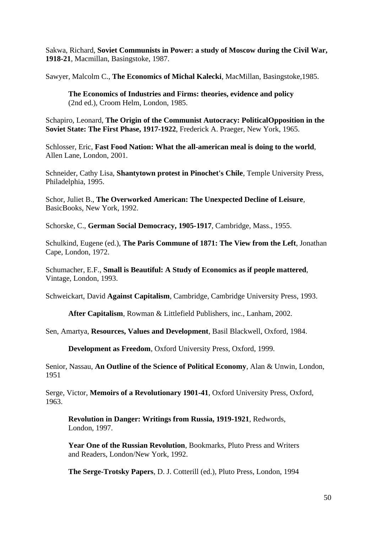Sakwa, Richard, **Soviet Communists in Power: a study of Moscow during the Civil War, 1918-21**, Macmillan, Basingstoke, 1987.

Sawyer, Malcolm C., **The Economics of Michal Kalecki**, MacMillan, Basingstoke,1985.

**The Economics of Industries and Firms: theories, evidence and policy** (2nd ed.), Croom Helm, London, 1985.

Schapiro, Leonard, **The Origin of the Communist Autocracy: PoliticalOpposition in the Soviet State: The First Phase, 1917-1922**, Frederick A. Praeger, New York, 1965.

Schlosser, Eric, **Fast Food Nation: What the all-american meal is doing to the world**, Allen Lane, London, 2001.

Schneider, Cathy Lisa, **Shantytown protest in Pinochet's Chile**, Temple University Press, Philadelphia, 1995.

Schor, Juliet B., **The Overworked American: The Unexpected Decline of Leisure**, BasicBooks, New York, 1992.

Schorske, C., **German Social Democracy, 1905-1917**, Cambridge, Mass., 1955.

Schulkind, Eugene (ed.), **The Paris Commune of 1871: The View from the Left**, Jonathan Cape, London, 1972.

Schumacher, E.F., **Small is Beautiful: A Study of Economics as if people mattered**, Vintage, London, 1993.

Schweickart, David **Against Capitalism**, Cambridge, Cambridge University Press, 1993.

**After Capitalism**, Rowman & Littlefield Publishers, inc., Lanham, 2002.

Sen, Amartya, **Resources, Values and Development**, Basil Blackwell, Oxford, 1984.

**Development as Freedom**, Oxford University Press, Oxford, 1999.

Senior, Nassau, **An Outline of the Science of Political Economy**, Alan & Unwin, London, 1951

Serge, Victor, **Memoirs of a Revolutionary 1901-41**, Oxford University Press, Oxford, 1963.

**Revolution in Danger: Writings from Russia, 1919-1921**, Redwords, London, 1997.

**Year One of the Russian Revolution**, Bookmarks, Pluto Press and Writers and Readers, London/New York, 1992.

**The Serge-Trotsky Papers**, D. J. Cotterill (ed.), Pluto Press, London, 1994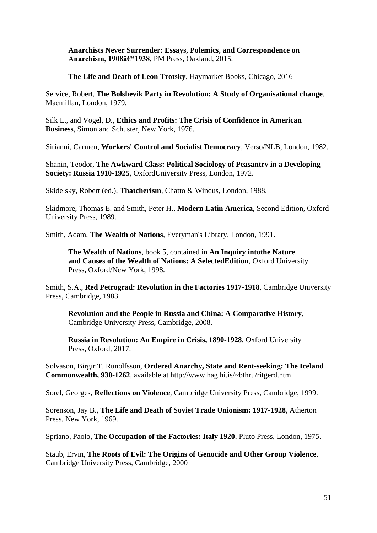**Anarchists Never Surrender: Essays, Polemics, and Correspondence on**  Anarchism, 1908–1938, PM Press, Oakland, 2015.

**The Life and Death of Leon Trotsky**, Haymarket Books, Chicago, 2016

Service, Robert, **The Bolshevik Party in Revolution: A Study of Organisational change**, Macmillan, London, 1979.

Silk L., and Vogel, D., **Ethics and Profits: The Crisis of Confidence in American Business**, Simon and Schuster, New York, 1976.

Sirianni, Carmen, **Workers' Control and Socialist Democracy**, Verso/NLB, London, 1982.

Shanin, Teodor, **The Awkward Class: Political Sociology of Peasantry in a Developing Society: Russia 1910-1925**, OxfordUniversity Press, London, 1972.

Skidelsky, Robert (ed.), **Thatcherism**, Chatto & Windus, London, 1988.

Skidmore, Thomas E. and Smith, Peter H., **Modern Latin America**, Second Edition, Oxford University Press, 1989.

Smith, Adam, **The Wealth of Nations**, Everyman's Library, London, 1991.

**The Wealth of Nations**, book 5, contained in **An Inquiry intothe Nature and Causes of the Wealth of Nations: A SelectedEdition**, Oxford University Press, Oxford/New York, 1998.

Smith, S.A., **Red Petrograd: Revolution in the Factories 1917-1918**, Cambridge University Press, Cambridge, 1983.

**Revolution and the People in Russia and China: A Comparative History**, Cambridge University Press, Cambridge, 2008.

**Russia in Revolution: An Empire in Crisis, 1890-1928**, Oxford University Press, Oxford, 2017.

Solvason, Birgir T. Runolfsson, **Ordered Anarchy, State and Rent-seeking: The Iceland Commonwealth, 930-1262**, available at http://www.hag.hi.is/~bthru/ritgerd.htm

Sorel, Georges, **Reflections on Violence**, Cambridge University Press, Cambridge, 1999.

Sorenson, Jay B., **The Life and Death of Soviet Trade Unionism: 1917-1928**, Atherton Press, New York, 1969.

Spriano, Paolo, **The Occupation of the Factories: Italy 1920**, Pluto Press, London, 1975.

Staub, Ervin, **The Roots of Evil: The Origins of Genocide and Other Group Violence**, Cambridge University Press, Cambridge, 2000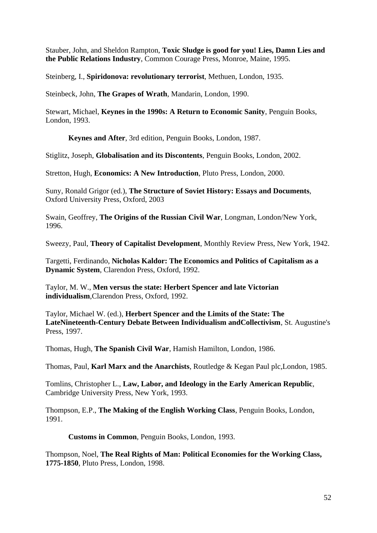Stauber, John, and Sheldon Rampton, **Toxic Sludge is good for you! Lies, Damn Lies and the Public Relations Industry**, Common Courage Press, Monroe, Maine, 1995.

Steinberg, I., **Spiridonova: revolutionary terrorist**, Methuen, London, 1935.

Steinbeck, John, **The Grapes of Wrath**, Mandarin, London, 1990.

Stewart, Michael, **Keynes in the 1990s: A Return to Economic Sanity**, Penguin Books, London, 1993.

**Keynes and After**, 3rd edition, Penguin Books, London, 1987.

Stiglitz, Joseph, **Globalisation and its Discontents**, Penguin Books, London, 2002.

Stretton, Hugh, **Economics: A New Introduction**, Pluto Press, London, 2000.

Suny, Ronald Grigor (ed.), **The Structure of Soviet History: Essays and Documents**, Oxford University Press, Oxford, 2003

Swain, Geoffrey, **The Origins of the Russian Civil War**, Longman, London/New York, 1996.

Sweezy, Paul, **Theory of Capitalist Development**, Monthly Review Press, New York, 1942.

Targetti, Ferdinando, **Nicholas Kaldor: The Economics and Politics of Capitalism as a Dynamic System**, Clarendon Press, Oxford, 1992.

Taylor, M. W., **Men versus the state: Herbert Spencer and late Victorian individualism**,Clarendon Press, Oxford, 1992.

Taylor, Michael W. (ed.), **Herbert Spencer and the Limits of the State: The LateNineteenth-Century Debate Between Individualism andCollectivism**, St. Augustine's Press, 1997.

Thomas, Hugh, **The Spanish Civil War**, Hamish Hamilton, London, 1986.

Thomas, Paul, **Karl Marx and the Anarchists**, Routledge & Kegan Paul plc,London, 1985.

Tomlins, Christopher L., **Law, Labor, and Ideology in the Early American Republic**, Cambridge University Press, New York, 1993.

Thompson, E.P., **The Making of the English Working Class**, Penguin Books, London, 1991.

**Customs in Common**, Penguin Books, London, 1993.

Thompson, Noel, **The Real Rights of Man: Political Economies for the Working Class, 1775-1850**, Pluto Press, London, 1998.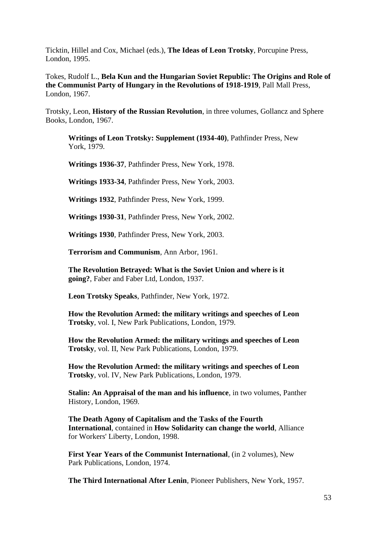Ticktin, Hillel and Cox, Michael (eds.), **The Ideas of Leon Trotsky**, Porcupine Press, London, 1995.

Tokes, Rudolf L., **Bela Kun and the Hungarian Soviet Republic: The Origins and Role of the Communist Party of Hungary in the Revolutions of 1918-1919**, Pall Mall Press, London, 1967.

Trotsky, Leon, **History of the Russian Revolution**, in three volumes, Gollancz and Sphere Books, London, 1967.

**Writings of Leon Trotsky: Supplement (1934-40)**, Pathfinder Press, New York, 1979.

**Writings 1936-37**, Pathfinder Press, New York, 1978.

**Writings 1933-34**, Pathfinder Press, New York, 2003.

**Writings 1932**, Pathfinder Press, New York, 1999.

**Writings 1930-31**, Pathfinder Press, New York, 2002.

**Writings 1930**, Pathfinder Press, New York, 2003.

**Terrorism and Communism**, Ann Arbor, 1961.

**The Revolution Betrayed: What is the Soviet Union and where is it going?**, Faber and Faber Ltd, London, 1937.

**Leon Trotsky Speaks**, Pathfinder, New York, 1972.

**How the Revolution Armed: the military writings and speeches of Leon Trotsky**, vol. I, New Park Publications, London, 1979.

**How the Revolution Armed: the military writings and speeches of Leon Trotsky**, vol. II, New Park Publications, London, 1979.

**How the Revolution Armed: the military writings and speeches of Leon Trotsky**, vol. IV, New Park Publications, London, 1979.

**Stalin: An Appraisal of the man and his influence**, in two volumes, Panther History, London, 1969.

**The Death Agony of Capitalism and the Tasks of the Fourth International**, contained in **How Solidarity can change the world**, Alliance for Workers' Liberty, London, 1998.

**First Year Years of the Communist International**, (in 2 volumes), New Park Publications, London, 1974.

**The Third International After Lenin**, Pioneer Publishers, New York, 1957.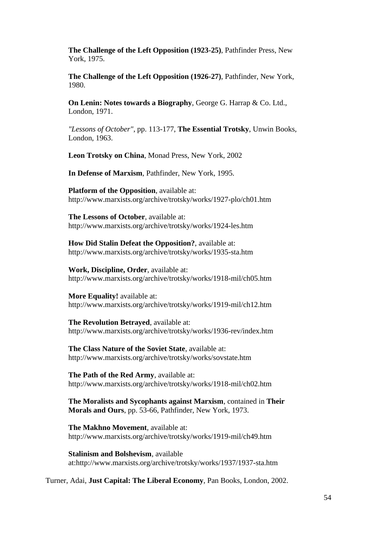**The Challenge of the Left Opposition (1923-25)**, Pathfinder Press, New York, 1975.

**The Challenge of the Left Opposition (1926-27)**, Pathfinder, New York, 1980.

**On Lenin: Notes towards a Biography**, George G. Harrap & Co. Ltd., London, 1971.

*"Lessons of October"*, pp. 113-177, **The Essential Trotsky**, Unwin Books, London, 1963.

**Leon Trotsky on China**, Monad Press, New York, 2002

**In Defense of Marxism**, Pathfinder, New York, 1995.

**Platform of the Opposition**, available at: http://www.marxists.org/archive/trotsky/works/1927-plo/ch01.htm

**The Lessons of October**, available at: http://www.marxists.org/archive/trotsky/works/1924-les.htm

**How Did Stalin Defeat the Opposition?**, available at: http://www.marxists.org/archive/trotsky/works/1935-sta.htm

**Work, Discipline, Order**, available at: http://www.marxists.org/archive/trotsky/works/1918-mil/ch05.htm

**More Equality!** available at: http://www.marxists.org/archive/trotsky/works/1919-mil/ch12.htm

**The Revolution Betrayed**, available at: http://www.marxists.org/archive/trotsky/works/1936-rev/index.htm

**The Class Nature of the Soviet State**, available at: http://www.marxists.org/archive/trotsky/works/sovstate.htm

**The Path of the Red Army**, available at: http://www.marxists.org/archive/trotsky/works/1918-mil/ch02.htm

**The Moralists and Sycophants against Marxism**, contained in **Their Morals and Ours**, pp. 53-66, Pathfinder, New York, 1973.

**The Makhno Movement**, available at: http://www.marxists.org/archive/trotsky/works/1919-mil/ch49.htm

**Stalinism and Bolshevism**, available at:http://www.marxists.org/archive/trotsky/works/1937/1937-sta.htm

Turner, Adai, **Just Capital: The Liberal Economy**, Pan Books, London, 2002.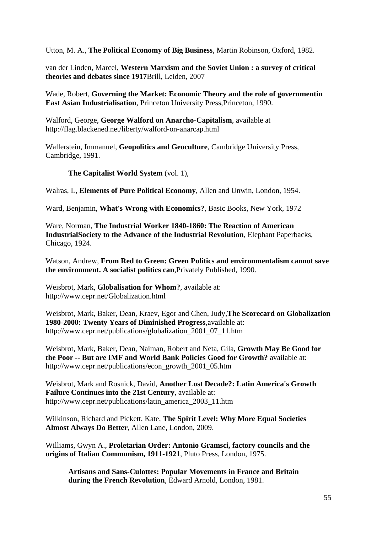Utton, M. A., **The Political Economy of Big Business**, Martin Robinson, Oxford, 1982.

van der Linden, Marcel, **Western Marxism and the Soviet Union : a survey of critical theories and debates since 1917**Brill, Leiden, 2007

Wade, Robert, **Governing the Market: Economic Theory and the role of governmentin East Asian Industrialisation**, Princeton University Press,Princeton, 1990.

Walford, George, **George Walford on Anarcho-Capitalism**, available at http://flag.blackened.net/liberty/walford-on-anarcap.html

Wallerstein, Immanuel, **Geopolitics and Geoculture**, Cambridge University Press, Cambridge, 1991.

**The Capitalist World System** (vol. 1),

Walras, L, **Elements of Pure Political Economy**, Allen and Unwin, London, 1954.

Ward, Benjamin, **What's Wrong with Economics?**, Basic Books, New York, 1972

Ware, Norman, **The Industrial Worker 1840-1860: The Reaction of American IndustrialSociety to the Advance of the Industrial Revolution**, Elephant Paperbacks, Chicago, 1924.

Watson, Andrew, **From Red to Green: Green Politics and environmentalism cannot save the environment. A socialist politics can**,Privately Published, 1990.

Weisbrot, Mark, **Globalisation for Whom?**, available at: http://www.cepr.net/Globalization.html

Weisbrot, Mark, Baker, Dean, Kraev, Egor and Chen, Judy,**The Scorecard on Globalization 1980-2000: Twenty Years of Diminished Progress**,available at: http://www.cepr.net/publications/globalization\_2001\_07\_11.htm

Weisbrot, Mark, Baker, Dean, Naiman, Robert and Neta, Gila, **Growth May Be Good for the Poor -- But are IMF and World Bank Policies Good for Growth?** available at: http://www.cepr.net/publications/econ\_growth\_2001\_05.htm

Weisbrot, Mark and Rosnick, David, **Another Lost Decade?: Latin America's Growth Failure Continues into the 21st Century**, available at: http://www.cepr.net/publications/latin\_america\_2003\_11.htm

Wilkinson, Richard and Pickett, Kate, **The Spirit Level: Why More Equal Societies Almost Always Do Better**, Allen Lane, London, 2009.

Williams, Gwyn A., **Proletarian Order: Antonio Gramsci, factory councils and the origins of Italian Communism, 1911-1921**, Pluto Press, London, 1975.

**Artisans and Sans-Culottes: Popular Movements in France and Britain during the French Revolution**, Edward Arnold, London, 1981.